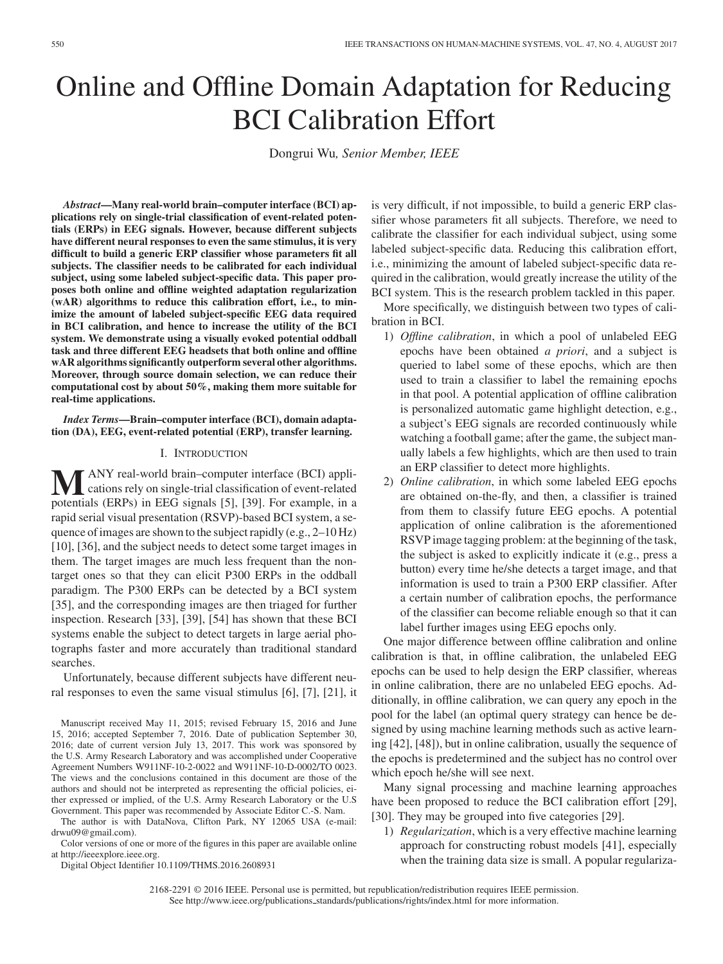# Online and Offline Domain Adaptation for Reducing BCI Calibration Effort

Dongrui Wu*, Senior Member, IEEE*

*Abstract***—Many real-world brain–computer interface (BCI) applications rely on single-trial classification of event-related potentials (ERPs) in EEG signals. However, because different subjects have different neural responses to even the same stimulus, it is very difficult to build a generic ERP classifier whose parameters fit all subjects. The classifier needs to be calibrated for each individual subject, using some labeled subject-specific data. This paper proposes both online and offline weighted adaptation regularization (wAR) algorithms to reduce this calibration effort, i.e., to minimize the amount of labeled subject-specific EEG data required in BCI calibration, and hence to increase the utility of the BCI system. We demonstrate using a visually evoked potential oddball task and three different EEG headsets that both online and offline wAR algorithms significantly outperform several other algorithms. Moreover, through source domain selection, we can reduce their computational cost by about 50%, making them more suitable for real-time applications.**

*Index Terms***—Brain–computer interface (BCI), domain adaptation (DA), EEG, event-related potential (ERP), transfer learning.**

#### I. INTRODUCTION

**M**ANY real-world brain–computer interface (BCI) applications rely on single-trial classification of event-related<br>notentials (EPPc) in EEG signals [5], [30], For example, in a potentials (ERPs) in EEG signals [5], [39]. For example, in a rapid serial visual presentation (RSVP)-based BCI system, a sequence of images are shown to the subject rapidly (e.g., 2–10 Hz) [10], [36], and the subject needs to detect some target images in them. The target images are much less frequent than the nontarget ones so that they can elicit P300 ERPs in the oddball paradigm. The P300 ERPs can be detected by a BCI system [35], and the corresponding images are then triaged for further inspection. Research [33], [39], [54] has shown that these BCI systems enable the subject to detect targets in large aerial photographs faster and more accurately than traditional standard searches.

Unfortunately, because different subjects have different neural responses to even the same visual stimulus [6], [7], [21], it

Manuscript received May 11, 2015; revised February 15, 2016 and June 15, 2016; accepted September 7, 2016. Date of publication September 30, 2016; date of current version July 13, 2017. This work was sponsored by the U.S. Army Research Laboratory and was accomplished under Cooperative Agreement Numbers W911NF-10-2-0022 and W911NF-10-D-0002/TO 0023. The views and the conclusions contained in this document are those of the authors and should not be interpreted as representing the official policies, either expressed or implied, of the U.S. Army Research Laboratory or the U.S Government. This paper was recommended by Associate Editor C.-S. Nam.

The author is with DataNova, Clifton Park, NY 12065 USA (e-mail: drwu09@gmail.com).

Color versions of one or more of the figures in this paper are available online at http://ieeexplore.ieee.org.

Digital Object Identifier 10.1109/THMS.2016.2608931

is very difficult, if not impossible, to build a generic ERP classifier whose parameters fit all subjects. Therefore, we need to calibrate the classifier for each individual subject, using some labeled subject-specific data. Reducing this calibration effort, i.e., minimizing the amount of labeled subject-specific data required in the calibration, would greatly increase the utility of the BCI system. This is the research problem tackled in this paper.

More specifically, we distinguish between two types of calibration in BCI.

- 1) *Offline calibration*, in which a pool of unlabeled EEG epochs have been obtained *a priori*, and a subject is queried to label some of these epochs, which are then used to train a classifier to label the remaining epochs in that pool. A potential application of offline calibration is personalized automatic game highlight detection, e.g., a subject's EEG signals are recorded continuously while watching a football game; after the game, the subject manually labels a few highlights, which are then used to train an ERP classifier to detect more highlights.
- 2) *Online calibration*, in which some labeled EEG epochs are obtained on-the-fly, and then, a classifier is trained from them to classify future EEG epochs. A potential application of online calibration is the aforementioned RSVP image tagging problem: at the beginning of the task, the subject is asked to explicitly indicate it (e.g., press a button) every time he/she detects a target image, and that information is used to train a P300 ERP classifier. After a certain number of calibration epochs, the performance of the classifier can become reliable enough so that it can label further images using EEG epochs only.

One major difference between offline calibration and online calibration is that, in offline calibration, the unlabeled EEG epochs can be used to help design the ERP classifier, whereas in online calibration, there are no unlabeled EEG epochs. Additionally, in offline calibration, we can query any epoch in the pool for the label (an optimal query strategy can hence be designed by using machine learning methods such as active learning [42], [48]), but in online calibration, usually the sequence of the epochs is predetermined and the subject has no control over which epoch he/she will see next.

Many signal processing and machine learning approaches have been proposed to reduce the BCI calibration effort [29], [30]. They may be grouped into five categories [29].

1) *Regularization*, which is a very effective machine learning approach for constructing robust models [41], especially when the training data size is small. A popular regulariza-

2168-2291 © 2016 IEEE. Personal use is permitted, but republication/redistribution requires IEEE permission. See http://www.ieee.org/publications standards/publications/rights/index.html for more information.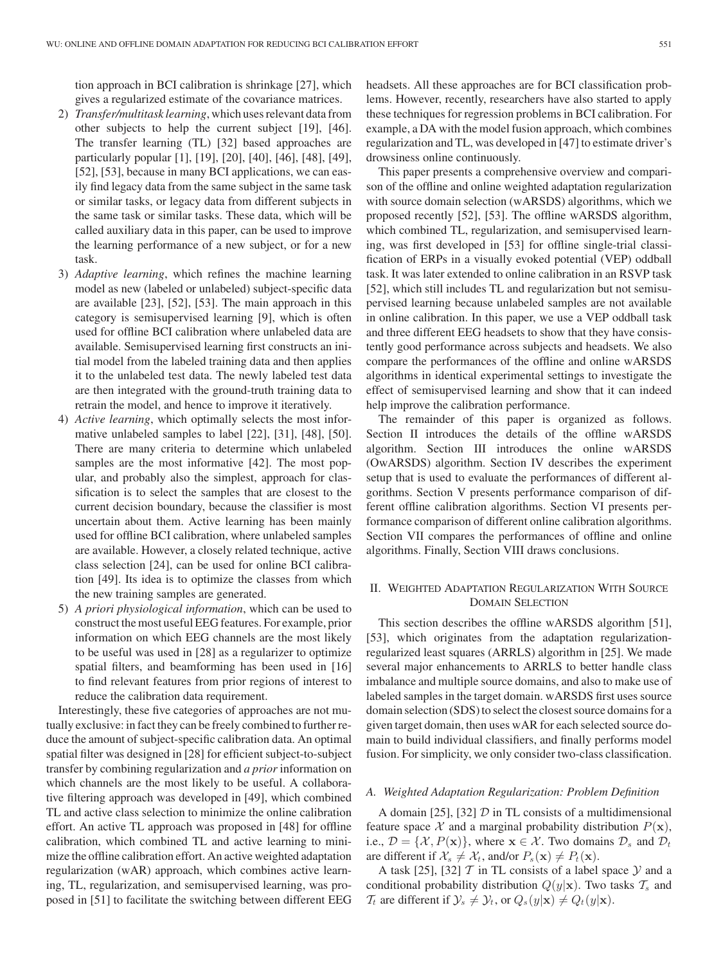tion approach in BCI calibration is shrinkage [27], which gives a regularized estimate of the covariance matrices.

- 2) *Transfer/multitask learning*, which uses relevant data from other subjects to help the current subject [19], [46]. The transfer learning (TL) [32] based approaches are particularly popular [1], [19], [20], [40], [46], [48], [49], [52], [53], because in many BCI applications, we can easily find legacy data from the same subject in the same task or similar tasks, or legacy data from different subjects in the same task or similar tasks. These data, which will be called auxiliary data in this paper, can be used to improve the learning performance of a new subject, or for a new task.
- 3) *Adaptive learning*, which refines the machine learning model as new (labeled or unlabeled) subject-specific data are available [23], [52], [53]. The main approach in this category is semisupervised learning [9], which is often used for offline BCI calibration where unlabeled data are available. Semisupervised learning first constructs an initial model from the labeled training data and then applies it to the unlabeled test data. The newly labeled test data are then integrated with the ground-truth training data to retrain the model, and hence to improve it iteratively.
- 4) *Active learning*, which optimally selects the most informative unlabeled samples to label [22], [31], [48], [50]. There are many criteria to determine which unlabeled samples are the most informative [42]. The most popular, and probably also the simplest, approach for classification is to select the samples that are closest to the current decision boundary, because the classifier is most uncertain about them. Active learning has been mainly used for offline BCI calibration, where unlabeled samples are available. However, a closely related technique, active class selection [24], can be used for online BCI calibration [49]. Its idea is to optimize the classes from which the new training samples are generated.
- 5) *A priori physiological information*, which can be used to construct the most useful EEG features. For example, prior information on which EEG channels are the most likely to be useful was used in [28] as a regularizer to optimize spatial filters, and beamforming has been used in [16] to find relevant features from prior regions of interest to reduce the calibration data requirement.

Interestingly, these five categories of approaches are not mutually exclusive: in fact they can be freely combined to further reduce the amount of subject-specific calibration data. An optimal spatial filter was designed in [28] for efficient subject-to-subject transfer by combining regularization and *a prior* information on which channels are the most likely to be useful. A collaborative filtering approach was developed in [49], which combined TL and active class selection to minimize the online calibration effort. An active TL approach was proposed in [48] for offline calibration, which combined TL and active learning to minimize the offline calibration effort. An active weighted adaptation regularization (wAR) approach, which combines active learning, TL, regularization, and semisupervised learning, was proposed in [51] to facilitate the switching between different EEG headsets. All these approaches are for BCI classification problems. However, recently, researchers have also started to apply these techniques for regression problems in BCI calibration. For example, a DA with the model fusion approach, which combines regularization and TL, was developed in [47] to estimate driver's drowsiness online continuously.

This paper presents a comprehensive overview and comparison of the offline and online weighted adaptation regularization with source domain selection (wARSDS) algorithms, which we proposed recently [52], [53]. The offline wARSDS algorithm, which combined TL, regularization, and semisupervised learning, was first developed in [53] for offline single-trial classification of ERPs in a visually evoked potential (VEP) oddball task. It was later extended to online calibration in an RSVP task [52], which still includes TL and regularization but not semisupervised learning because unlabeled samples are not available in online calibration. In this paper, we use a VEP oddball task and three different EEG headsets to show that they have consistently good performance across subjects and headsets. We also compare the performances of the offline and online wARSDS algorithms in identical experimental settings to investigate the effect of semisupervised learning and show that it can indeed help improve the calibration performance.

The remainder of this paper is organized as follows. Section II introduces the details of the offline wARSDS algorithm. Section III introduces the online wARSDS (OwARSDS) algorithm. Section IV describes the experiment setup that is used to evaluate the performances of different algorithms. Section V presents performance comparison of different offline calibration algorithms. Section VI presents performance comparison of different online calibration algorithms. Section VII compares the performances of offline and online algorithms. Finally, Section VIII draws conclusions.

## II. WEIGHTED ADAPTATION REGULARIZATION WITH SOURCE DOMAIN SELECTION

This section describes the offline wARSDS algorithm [51], [53], which originates from the adaptation regularizationregularized least squares (ARRLS) algorithm in [25]. We made several major enhancements to ARRLS to better handle class imbalance and multiple source domains, and also to make use of labeled samples in the target domain. wARSDS first uses source domain selection (SDS) to select the closest source domains for a given target domain, then uses wAR for each selected source domain to build individual classifiers, and finally performs model fusion. For simplicity, we only consider two-class classification.

#### *A. Weighted Adaptation Regularization: Problem Definition*

A domain [25], [32]  $\mathcal D$  in TL consists of a multidimensional feature space X and a marginal probability distribution  $P(\mathbf{x})$ , i.e.,  $\mathcal{D} = \{X, P(\mathbf{x})\}$ , where  $\mathbf{x} \in \mathcal{X}$ . Two domains  $\mathcal{D}_s$  and  $\mathcal{D}_t$ are different if  $\mathcal{X}_s \neq \mathcal{X}_t$ , and/or  $P_s(\mathbf{x}) \neq P_t(\mathbf{x})$ .

A task [25], [32]  $T$  in TL consists of a label space  $Y$  and a conditional probability distribution  $Q(y|\mathbf{x})$ . Two tasks  $\mathcal{T}_s$  and  $\mathcal{T}_t$  are different if  $\mathcal{Y}_s \neq \mathcal{Y}_t$ , or  $Q_s(y|\mathbf{x}) \neq Q_t(y|\mathbf{x})$ .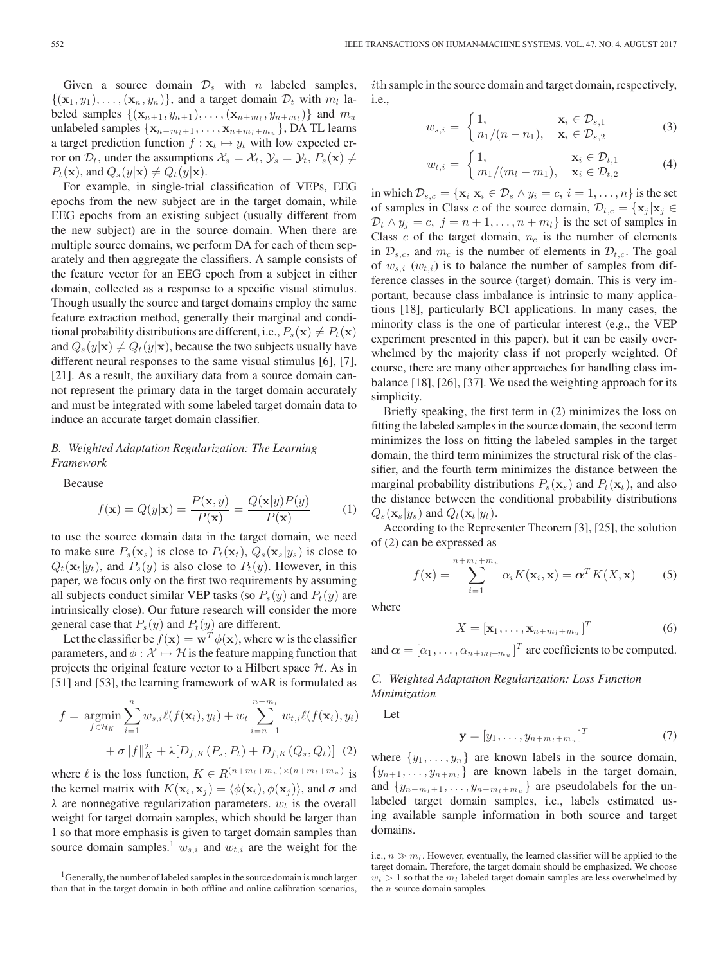Given a source domain  $\mathcal{D}_s$  with n labeled samples,  $\{(\mathbf{x}_1, y_1), \ldots, (\mathbf{x}_n, y_n)\}\$ , and a target domain  $\mathcal{D}_t$  with  $m_l$  labeled samples  $\{({\bf x}_{n+1}, y_{n+1}), \ldots, ({\bf x}_{n+m_l}, y_{n+m_l})\}$  and  $m_u$ unlabeled samples  $\{x_{n+m_l +1}, \ldots, x_{n+m_l +m_u}\}$ , DA TL learns a target prediction function  $f : \mathbf{x}_t \mapsto y_t$  with low expected error on  $\mathcal{D}_t$ , under the assumptions  $\mathcal{X}_s = \mathcal{X}_t$ ,  $\mathcal{Y}_s = \mathcal{Y}_t$ ,  $P_s(\mathbf{x}) \neq$  $P_t(\mathbf{x})$ , and  $Q_s(y|\mathbf{x}) \neq Q_t(y|\mathbf{x})$ .

For example, in single-trial classification of VEPs, EEG epochs from the new subject are in the target domain, while EEG epochs from an existing subject (usually different from the new subject) are in the source domain. When there are multiple source domains, we perform DA for each of them separately and then aggregate the classifiers. A sample consists of the feature vector for an EEG epoch from a subject in either domain, collected as a response to a specific visual stimulus. Though usually the source and target domains employ the same feature extraction method, generally their marginal and conditional probability distributions are different, i.e.,  $P_s(\mathbf{x}) \neq P_t(\mathbf{x})$ and  $Q_s(y|\mathbf{x}) \neq Q_t(y|\mathbf{x})$ , because the two subjects usually have different neural responses to the same visual stimulus [6], [7], [21]. As a result, the auxiliary data from a source domain cannot represent the primary data in the target domain accurately and must be integrated with some labeled target domain data to induce an accurate target domain classifier.

# *B. Weighted Adaptation Regularization: The Learning Framework*

Because

$$
f(\mathbf{x}) = Q(y|\mathbf{x}) = \frac{P(\mathbf{x}, y)}{P(\mathbf{x})} = \frac{Q(\mathbf{x}|y)P(y)}{P(\mathbf{x})}
$$
(1)

to use the source domain data in the target domain, we need to make sure  $P_s(\mathbf{x}_s)$  is close to  $P_t(\mathbf{x}_t)$ ,  $Q_s(\mathbf{x}_s | y_s)$  is close to  $Q_t(\mathbf{x}_t|y_t)$ , and  $P_s(y)$  is also close to  $P_t(y)$ . However, in this paper, we focus only on the first two requirements by assuming all subjects conduct similar VEP tasks (so  $P_s(y)$  and  $P_t(y)$  are intrinsically close). Our future research will consider the more general case that  $P_s(y)$  and  $P_t(y)$  are different.

Let the classifier be  $f(\mathbf{x}) = \mathbf{w}^T \phi(\mathbf{x})$ , where **w** is the classifier parameters, and  $\phi : \mathcal{X} \mapsto \mathcal{H}$  is the feature mapping function that projects the original feature vector to a Hilbert space  $H$ . As in [51] and [53], the learning framework of wAR is formulated as

$$
f = \underset{f \in \mathcal{H}_K}{\text{argmin}} \sum_{i=1}^n w_{s,i} \ell(f(\mathbf{x}_i), y_i) + w_t \sum_{i=n+1}^{n+m_l} w_{t,i} \ell(f(\mathbf{x}_i), y_i)
$$

$$
+ \sigma \|f\|_K^2 + \lambda [D_{f,K}(P_s, P_t) + D_{f,K}(Q_s, Q_t)] \tag{2}
$$

where  $\ell$  is the loss function,  $K \in R^{(n+m_l+m_u)\times (n+m_l+m_u)}$  is the kernel matrix with  $K(\mathbf{x}_i, \mathbf{x}_j) = \langle \phi(\mathbf{x}_i), \phi(\mathbf{x}_j) \rangle$ , and  $\sigma$  and  $\lambda$  are nonnegative regularization parameters.  $w_t$  is the overall weight for target domain samples, which should be larger than 1 so that more emphasis is given to target domain samples than source domain samples.<sup>1</sup>  $w_{s,i}$  and  $w_{t,i}$  are the weight for the

<sup>1</sup>Generally, the number of labeled samples in the source domain is much larger than that in the target domain in both offline and online calibration scenarios, <sup>i</sup>th sample in the source domain and target domain, respectively, i.e.,

$$
w_{s,i} = \begin{cases} 1, & \mathbf{x}_i \in \mathcal{D}_{s,1} \\ n_1/(n - n_1), & \mathbf{x}_i \in \mathcal{D}_{s,2} \end{cases}
$$
(3)

$$
w_{t,i} = \begin{cases} 1, & \mathbf{x}_i \in \mathcal{D}_{t,1} \\ m_1/(m_l - m_1), & \mathbf{x}_i \in \mathcal{D}_{t,2} \end{cases}
$$
 (4)

in which  $\mathcal{D}_{s,c} = {\mathbf{x}_i | \mathbf{x}_i \in \mathcal{D}_s \land y_i = c, i = 1, ..., n}$  is the set of samples in Class c of the source domain,  $\mathcal{D}_{t,c} = {\mathbf{x}_j | \mathbf{x}_j \in \mathbb{R}^d}$  $\mathcal{D}_t \wedge y_j = c, \ j = n+1, \ldots, n+m_l$  is the set of samples in Class  $c$  of the target domain,  $n_c$  is the number of elements in  $\mathcal{D}_{s,c}$ , and  $m_c$  is the number of elements in  $\mathcal{D}_{t,c}$ . The goal of  $w_{s,i}$  ( $w_{t,i}$ ) is to balance the number of samples from difference classes in the source (target) domain. This is very important, because class imbalance is intrinsic to many applications [18], particularly BCI applications. In many cases, the minority class is the one of particular interest (e.g., the VEP experiment presented in this paper), but it can be easily overwhelmed by the majority class if not properly weighted. Of course, there are many other approaches for handling class imbalance [18], [26], [37]. We used the weighting approach for its simplicity.

Briefly speaking, the first term in (2) minimizes the loss on fitting the labeled samples in the source domain, the second term minimizes the loss on fitting the labeled samples in the target domain, the third term minimizes the structural risk of the classifier, and the fourth term minimizes the distance between the marginal probability distributions  $P_s(\mathbf{x}_s)$  and  $P_t(\mathbf{x}_t)$ , and also the distance between the conditional probability distributions  $Q_s(\mathbf{x}_s|y_s)$  and  $Q_t(\mathbf{x}_t|y_t)$ .

According to the Representer Theorem [3], [25], the solution of (2) can be expressed as

$$
f(\mathbf{x}) = \sum_{i=1}^{n+m_l+m_u} \alpha_i K(\mathbf{x}_i, \mathbf{x}) = \boldsymbol{\alpha}^T K(X, \mathbf{x})
$$
 (5)

where

$$
X = [\mathbf{x}_1, \dots, \mathbf{x}_{n+m_l+m_u}]^T
$$
 (6)

and  $\boldsymbol{\alpha} = [\alpha_1, \dots, \alpha_{n+m_l+m_u}]^T$  are coefficients to be computed.

*C. Weighted Adaptation Regularization: Loss Function Minimization*

Let

$$
\mathbf{y} = [y_1, \dots, y_{n+m_l+m_u}]^T
$$
 (7)

where  $\{y_1, \ldots, y_n\}$  are known labels in the source domain,  $\{y_{n+1},\ldots,y_{n+m_l}\}\$  are known labels in the target domain, and  $\{y_{n+m_l+1},\ldots,y_{n+m_l+m_u}\}$  are pseudolabels for the unlabeled target domain samples, i.e., labels estimated using available sample information in both source and target domains.

i.e.,  $n \gg m_l$ . However, eventually, the learned classifier will be applied to the target domain. Therefore, the target domain should be emphasized. We choose  $w_t > 1$  so that the  $m_l$  labeled target domain samples are less overwhelmed by the  $n$  source domain samples.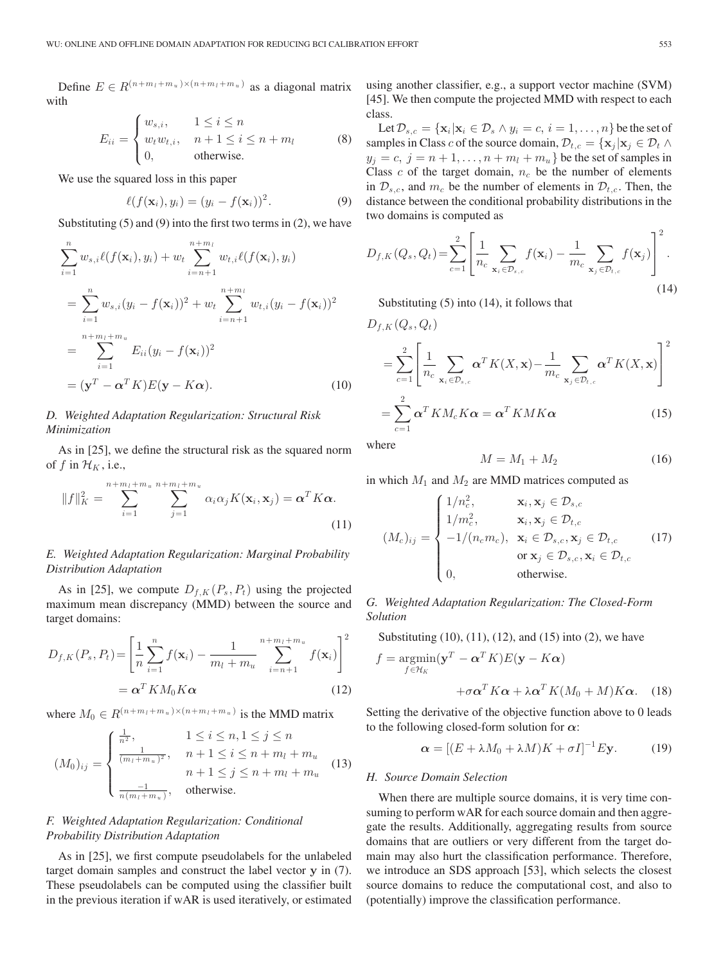Define  $E \in R^{(n+m_l+m_u)\times(n+m_l+m_u)}$  as a diagonal matrix with

$$
E_{ii} = \begin{cases} w_{s,i}, & 1 \le i \le n \\ w_t w_{t,i}, & n+1 \le i \le n+m_l \\ 0, & \text{otherwise.} \end{cases}
$$
 (8)

We use the squared loss in this paper

$$
\ell(f(\mathbf{x}_i), y_i) = (y_i - f(\mathbf{x}_i))^2.
$$
 (9)

Substituting  $(5)$  and  $(9)$  into the first two terms in  $(2)$ , we have

$$
\sum_{i=1}^{n} w_{s,i} \ell(f(\mathbf{x}_i), y_i) + w_t \sum_{i=n+1}^{n+m_l} w_{t,i} \ell(f(\mathbf{x}_i), y_i)
$$
  
= 
$$
\sum_{i=1}^{n} w_{s,i} (y_i - f(\mathbf{x}_i))^2 + w_t \sum_{i=n+1}^{n+m_l} w_{t,i} (y_i - f(\mathbf{x}_i))^2
$$
  
= 
$$
\sum_{i=1}^{n+m_l+m_u} E_{ii} (y_i - f(\mathbf{x}_i))^2
$$
  
= 
$$
(\mathbf{y}^T - \boldsymbol{\alpha}^T K) E(\mathbf{y} - K \boldsymbol{\alpha}).
$$
 (10)

# *D. Weighted Adaptation Regularization: Structural Risk Minimization*

As in [25], we define the structural risk as the squared norm of f in  $\mathcal{H}_K$ , i.e.,

$$
||f||_K^2 = \sum_{i=1}^{n+m_l+m_u} \sum_{j=1}^{n+m_l+m_u} \alpha_i \alpha_j K(\mathbf{x}_i, \mathbf{x}_j) = \boldsymbol{\alpha}^T K \boldsymbol{\alpha}.
$$
\n(11)

## *E. Weighted Adaptation Regularization: Marginal Probability Distribution Adaptation*

As in [25], we compute  $D_{f,K}(P_s, P_t)$  using the projected maximum mean discrepancy (MMD) between the source and target domains:

$$
D_{f,K}(P_s, P_t) = \left[\frac{1}{n}\sum_{i=1}^n f(\mathbf{x}_i) - \frac{1}{m_l + m_u}\sum_{i=n+1}^{n+m_l + m_u} f(\mathbf{x}_i)\right]^2
$$
  
=  $\boldsymbol{\alpha}^T K M_0 K \boldsymbol{\alpha}$  (12)

where  $M_0 \in R^{(n+m_l+m_u)\times (n+m_l+m_u)}$  is the MMD matrix

$$
(M_0)_{ij} = \begin{cases} \frac{1}{n^2}, & 1 \le i \le n, 1 \le j \le n \\ \frac{1}{(m_l + m_u)^2}, & n + 1 \le i \le n + m_l + m_u \\ n + 1 \le j \le n + m_l + m_u \end{cases}
$$
 (13)  
otherwise.

## *F. Weighted Adaptation Regularization: Conditional Probability Distribution Adaptation*

As in [25], we first compute pseudolabels for the unlabeled target domain samples and construct the label vector **y** in (7). These pseudolabels can be computed using the classifier built in the previous iteration if wAR is used iteratively, or estimated using another classifier, e.g., a support vector machine (SVM) [45]. We then compute the projected MMD with respect to each class.

Let  $\mathcal{D}_{s,c} = {\mathbf{x}_i | \mathbf{x}_i \in \mathcal{D}_s \land y_i = c, i = 1, \ldots, n}$  be the set of samples in Class c of the source domain,  $\mathcal{D}_{t,c} = {\mathbf{x}_j | \mathbf{x}_j \in \mathcal{D}_t \wedge \mathbf{x}_j}$  $y_j = c, j = n+1, \ldots, n+m_l+m_u$  be the set of samples in Class  $c$  of the target domain,  $n_c$  be the number of elements in  $\mathcal{D}_{s,c}$ , and  $m_c$  be the number of elements in  $\mathcal{D}_{t,c}$ . Then, the distance between the conditional probability distributions in the two domains is computed as

$$
D_{f,K}(Q_s, Q_t) = \sum_{c=1}^2 \left[ \frac{1}{n_c} \sum_{\mathbf{x}_i \in \mathcal{D}_{s,c}} f(\mathbf{x}_i) - \frac{1}{m_c} \sum_{\mathbf{x}_j \in \mathcal{D}_{t,c}} f(\mathbf{x}_j) \right]^2.
$$
\n(14)

Substituting (5) into (14), it follows that

$$
D_{f,K}(Q_s, Q_t)
$$
  
= 
$$
\sum_{c=1}^{2} \left[ \frac{1}{n_c} \sum_{\mathbf{x}_i \in \mathcal{D}_{s,c}} \alpha^T K(X, \mathbf{x}) - \frac{1}{m_c} \sum_{\mathbf{x}_j \in \mathcal{D}_{t,c}} \alpha^T K(X, \mathbf{x}) \right]^2
$$
  
= 
$$
\sum_{c=1}^{2} \alpha^T K M_c K \alpha = \alpha^T K M K \alpha
$$
 (15)

where

in which  $M_1$  and  $M_2$  are MMD matrices computed as

 $M = M_1 + M_2$  (16)

$$
(M_c)_{ij} = \begin{cases} 1/n_c^2, & \mathbf{x}_i, \mathbf{x}_j \in \mathcal{D}_{s,c} \\ 1/m_c^2, & \mathbf{x}_i, \mathbf{x}_j \in \mathcal{D}_{t,c} \\ -1/(n_c m_c), & \mathbf{x}_i \in \mathcal{D}_{s,c}, \mathbf{x}_j \in \mathcal{D}_{t,c} \\ \text{or } \mathbf{x}_j \in \mathcal{D}_{s,c}, \mathbf{x}_i \in \mathcal{D}_{t,c} \\ 0, & \text{otherwise.} \end{cases}
$$
(17)

*G. Weighted Adaptation Regularization: The Closed-Form Solution*

Substituting (10), (11), (12), and (15) into (2), we have

$$
f = \underset{f \in \mathcal{H}_K}{\operatorname{argmin}} (\mathbf{y}^T - \boldsymbol{\alpha}^T K) E(\mathbf{y} - K\boldsymbol{\alpha})
$$

$$
+ \sigma \boldsymbol{\alpha}^T K \boldsymbol{\alpha} + \lambda \boldsymbol{\alpha}^T K (M_0 + M) K \boldsymbol{\alpha}. \quad (18)
$$

Setting the derivative of the objective function above to 0 leads to the following closed-form solution for *α*:

$$
\boldsymbol{\alpha} = [(E + \lambda M_0 + \lambda M)K + \sigma I]^{-1} E \mathbf{y}.
$$
 (19)

#### *H. Source Domain Selection*

When there are multiple source domains, it is very time consuming to perform wAR for each source domain and then aggregate the results. Additionally, aggregating results from source domains that are outliers or very different from the target domain may also hurt the classification performance. Therefore, we introduce an SDS approach [53], which selects the closest source domains to reduce the computational cost, and also to (potentially) improve the classification performance.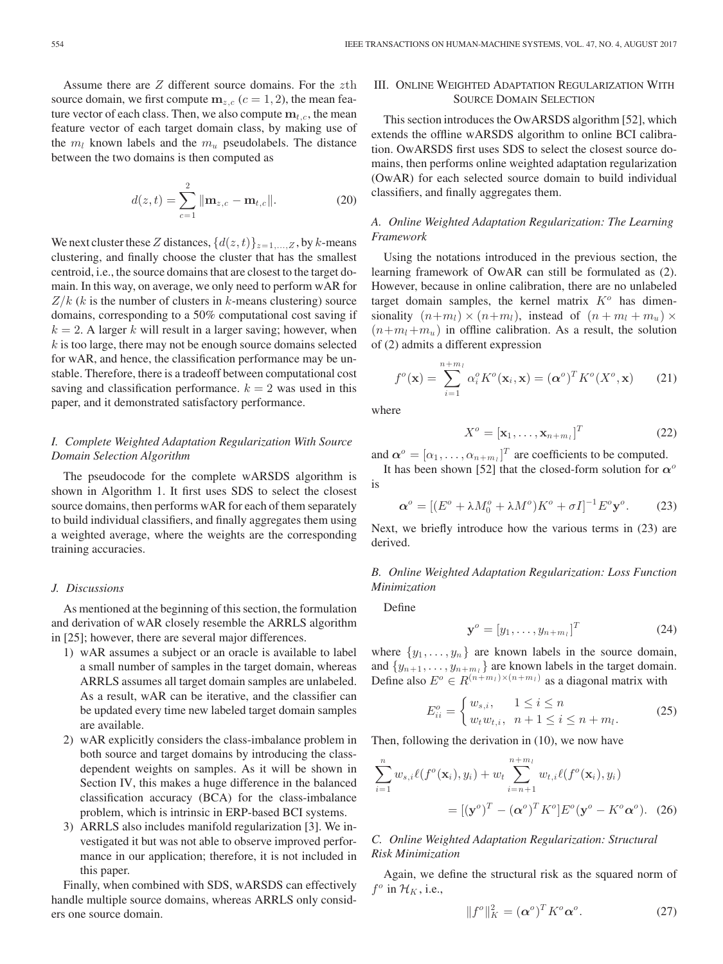Assume there are <sup>Z</sup> different source domains. For the <sup>z</sup>th source domain, we first compute  $m_{z,c}$  ( $c = 1, 2$ ), the mean feature vector of each class. Then, we also compute  $\mathbf{m}_{t,c}$ , the mean feature vector of each target domain class, by making use of the  $m_l$  known labels and the  $m_u$  pseudolabels. The distance between the two domains is then computed as

$$
d(z,t) = \sum_{c=1}^{2} ||\mathbf{m}_{z,c} - \mathbf{m}_{t,c}||.
$$
 (20)

We next cluster these Z distances,  $\{d(z, t)\}_{z=1,\dots,Z}$ , by k-means clustering, and finally choose the cluster that has the smallest centroid, i.e., the source domains that are closest to the target domain. In this way, on average, we only need to perform wAR for  $Z/k$  (k is the number of clusters in k-means clustering) source domains, corresponding to a 50% computational cost saving if  $k = 2$ . A larger k will result in a larger saving; however, when  $k$  is too large, there may not be enough source domains selected for wAR, and hence, the classification performance may be unstable. Therefore, there is a tradeoff between computational cost saving and classification performance.  $k = 2$  was used in this paper, and it demonstrated satisfactory performance.

# *I. Complete Weighted Adaptation Regularization With Source Domain Selection Algorithm*

The pseudocode for the complete wARSDS algorithm is shown in Algorithm 1. It first uses SDS to select the closest source domains, then performs wAR for each of them separately to build individual classifiers, and finally aggregates them using a weighted average, where the weights are the corresponding training accuracies.

## *J. Discussions*

As mentioned at the beginning of this section, the formulation and derivation of wAR closely resemble the ARRLS algorithm in [25]; however, there are several major differences.

- 1) wAR assumes a subject or an oracle is available to label a small number of samples in the target domain, whereas ARRLS assumes all target domain samples are unlabeled. As a result, wAR can be iterative, and the classifier can be updated every time new labeled target domain samples are available.
- 2) wAR explicitly considers the class-imbalance problem in both source and target domains by introducing the classdependent weights on samples. As it will be shown in Section IV, this makes a huge difference in the balanced classification accuracy (BCA) for the class-imbalance problem, which is intrinsic in ERP-based BCI systems.
- 3) ARRLS also includes manifold regularization [3]. We investigated it but was not able to observe improved performance in our application; therefore, it is not included in this paper.

Finally, when combined with SDS, wARSDS can effectively handle multiple source domains, whereas ARRLS only considers one source domain.

## III. ONLINE WEIGHTED ADAPTATION REGULARIZATION WITH SOURCE DOMAIN SELECTION

This section introduces the OwARSDS algorithm [52], which extends the offline wARSDS algorithm to online BCI calibration. OwARSDS first uses SDS to select the closest source domains, then performs online weighted adaptation regularization (OwAR) for each selected source domain to build individual classifiers, and finally aggregates them.

## *A. Online Weighted Adaptation Regularization: The Learning Framework*

Using the notations introduced in the previous section, the learning framework of OwAR can still be formulated as (2). However, because in online calibration, there are no unlabeled target domain samples, the kernel matrix  $K^o$  has dimensionality  $(n+m_l) \times (n+m_l)$ , instead of  $(n+m_l+m_u) \times$  $(n+m_l+m_u)$  in offline calibration. As a result, the solution of (2) admits a different expression

$$
f^{o}(\mathbf{x}) = \sum_{i=1}^{n+m_l} \alpha_i^o K^o(\mathbf{x}_i, \mathbf{x}) = (\boldsymbol{\alpha}^o)^T K^o(X^o, \mathbf{x}) \qquad (21)
$$

where

$$
X^o = [\mathbf{x}_1, \dots, \mathbf{x}_{n+m_l}]^T
$$
 (22)

and  $\alpha^o = [\alpha_1, \dots, \alpha_{n+m_l}]^T$  are coefficients to be computed.<br>It has been shown [52] that the closed-form solution for a

It has been shown [52] that the closed-form solution for  $\alpha^{\circ}$ is

$$
\boldsymbol{\alpha}^{\circ} = \left[ (E^{\circ} + \lambda M_0^{\circ} + \lambda M^{\circ}) K^{\circ} + \sigma I \right]^{-1} E^{\circ} \mathbf{y}^{\circ}.
$$
 (23)

Next, we briefly introduce how the various terms in (23) are derived.

## *B. Online Weighted Adaptation Regularization: Loss Function Minimization*

Define

$$
\mathbf{y}^o = [y_1, \dots, y_{n+m_l}]^T
$$
 (24)

where  $\{y_1, \ldots, y_n\}$  are known labels in the source domain, and  $\{y_{n+1}, \ldots, y_{n+m_l}\}$  are known labels in the target domain. Define also  $E^o \in R^{(n+m_l)\times (n+m_l)}$  as a diagonal matrix with

$$
E_{ii}^{o} = \begin{cases} w_{s,i}, & 1 \le i \le n \\ w_t w_{t,i}, & n+1 \le i \le n+m_l. \end{cases}
$$
 (25)

Then, following the derivation in (10), we now have

$$
\sum_{i=1}^{n} w_{s,i} \ell(f^o(\mathbf{x}_i), y_i) + w_t \sum_{i=n+1}^{n+m_l} w_{t,i} \ell(f^o(\mathbf{x}_i), y_i)
$$
  
= 
$$
[(\mathbf{y}^o)^T - (\boldsymbol{\alpha}^o)^T K^o] E^o(\mathbf{y}^o - K^o \boldsymbol{\alpha}^o).
$$
 (26)

# *C. Online Weighted Adaptation Regularization: Structural Risk Minimization*

Again, we define the structural risk as the squared norm of  $f^o$  in  $\mathcal{H}_K$ , i.e.,

$$
||f^o||_K^2 = (\alpha^o)^T K^o \alpha^o.
$$
 (27)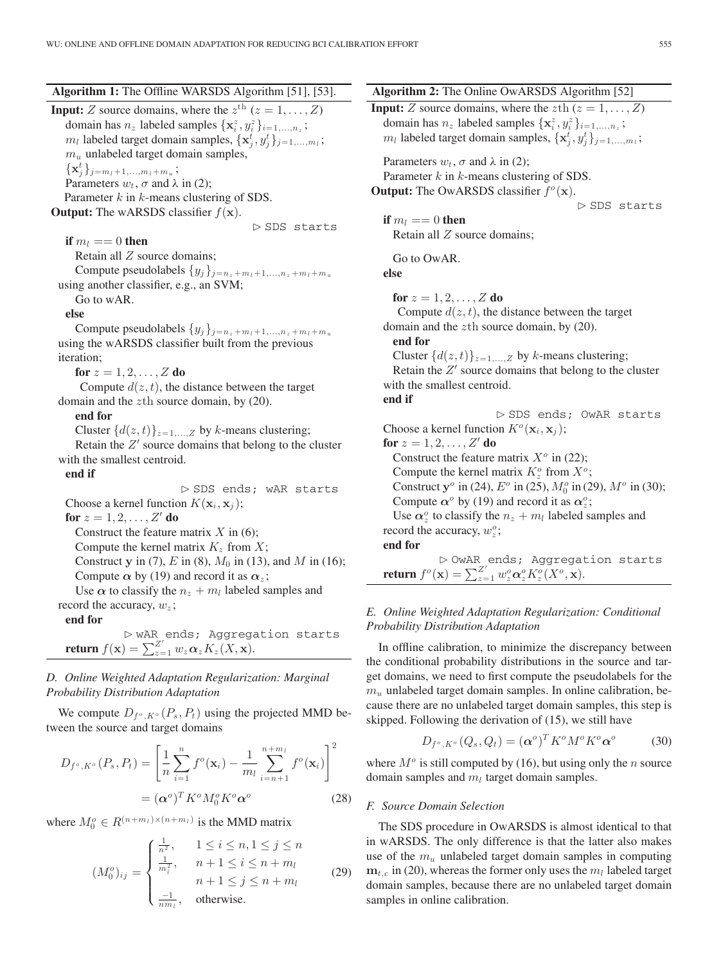| Algorithm 1: The Offline WARSDS Algorithm [51], [53].                                                                             | Algorithm 2: The Online OwARSDS Algorithm [52]                                                  |
|-----------------------------------------------------------------------------------------------------------------------------------|-------------------------------------------------------------------------------------------------|
| <b>Input:</b> Z source domains, where the $z^{\text{th}}$ ( $z = 1, , Z$ )                                                        | <b>Input:</b> Z source domains, where the zth $(z = 1, , Z)$                                    |
| domain has $n_z$ labeled samples $\{x_i^z, y_i^z\}_{i=1,\ldots,n_z}$ ;                                                            | domain has $n_z$ labeled samples $\{x_i^z, y_i^z\}_{i=1,\ldots,n_z}$ ;                          |
| $m_l$ labeled target domain samples, $\{x_j^t, y_j^t\}_{j=1,\ldots,m_l}$ ;                                                        | $m_l$ labeled target domain samples, $\{x_j^t, y_j^t\}_{j=1,\ldots,m_l}$ ;                      |
| $m_u$ unlabeled target domain samples,                                                                                            |                                                                                                 |
| $\{{\bf x}_j^t\}_{j=m_l+1,\ldots,m_l+m_u};$                                                                                       | Parameters $w_t$ , $\sigma$ and $\lambda$ in (2);                                               |
| Parameters $w_t$ , $\sigma$ and $\lambda$ in (2);                                                                                 | Parameter $k$ in $k$ -means clustering of SDS.                                                  |
| Parameter $k$ in $k$ -means clustering of SDS.                                                                                    | <b>Output:</b> The OwARSDS classifier $f^{\circ}(\mathbf{x})$ .                                 |
| <b>Output:</b> The wARSDS classifier $f(\mathbf{x})$ .                                                                            | $\triangleright$ SDS starts                                                                     |
| $\triangleright$ SDS starts                                                                                                       | if $m_l == 0$ then                                                                              |
| if $m_l == 0$ then                                                                                                                | Retain all Z source domains;                                                                    |
| Retain all Z source domains;                                                                                                      | Go to OwAR.                                                                                     |
| Compute pseudolabels $\{y_j\}_{j=n_z+m_l+1,,n_z+m_l+m_u}$                                                                         | else                                                                                            |
| using another classifier, e.g., an SVM;                                                                                           |                                                                                                 |
| Go to wAR.                                                                                                                        | for $z = 1, 2, , Z$ do                                                                          |
| else                                                                                                                              | Compute $d(z, t)$ , the distance between the target                                             |
| Compute pseudolabels $\{y_j\}_{j=n_z+m_l+1,,n_z+m_l+m_u}$                                                                         | domain and the $z$ th source domain, by $(20)$ .                                                |
| using the wARSDS classifier built from the previous                                                                               | end for                                                                                         |
| iteration;                                                                                                                        | Cluster $\{d(z, t)\}_{z=1,\dots, Z}$ by k-means clustering;                                     |
| for $z = 1, 2, , Z$ do                                                                                                            | Retain the $Z'$ source domains that belong to the cluster                                       |
| Compute $d(z, t)$ , the distance between the target                                                                               | with the smallest centroid.                                                                     |
| domain and the $z$ th source domain, by $(20)$ .                                                                                  | end if                                                                                          |
| end for                                                                                                                           | $\triangleright$ SDS ends; OwAR starts                                                          |
| Cluster $\{d(z,t)\}_{z=1,\dots,Z}$ by k-means clustering;                                                                         | Choose a kernel function $K^{\circ}(\mathbf{x}_i, \mathbf{x}_j)$ ;                              |
| Retain the $Z'$ source domains that belong to the cluster                                                                         | for $z = 1, 2, , Z'$ do                                                                         |
| with the smallest centroid.                                                                                                       | Construct the feature matrix $X^o$ in (22);                                                     |
| end if                                                                                                                            | Compute the kernel matrix $K_2^o$ from $X^o$ ;                                                  |
| $\triangleright$ SDS ends; wAR starts                                                                                             | Construct $y^{\circ}$ in (24), $E^{\circ}$ in (25), $M_0^{\circ}$ in (29), $M^{\circ}$ in (30); |
| Choose a kernel function $K(\mathbf{x}_i, \mathbf{x}_j)$ ;                                                                        | Compute $\alpha^{\circ}$ by (19) and record it as $\alpha^{\circ}_{z}$ ;                        |
| for $z = 1, 2, , Z'$ do                                                                                                           | Use $\alpha_z^o$ to classify the $n_z + m_l$ labeled samples and                                |
| Construct the feature matrix $X$ in (6);                                                                                          | record the accuracy, $w_z^o$ ;                                                                  |
| Compute the kernel matrix $K_z$ from $X$ ;                                                                                        | end for                                                                                         |
| Construct y in (7), E in (8), $M_0$ in (13), and M in (16);                                                                       | ▷ OwAR ends; Aggregation starts                                                                 |
| Compute $\alpha$ by (19) and record it as $\alpha_z$ ;                                                                            | return $f^o(\mathbf{x}) = \sum_{z=1}^{Z'} w_z^o \alpha_z^o K_z^o(X^o, \mathbf{x}).$             |
| Use $\alpha$ to classify the $n_z + m_l$ labeled samples and                                                                      |                                                                                                 |
| record the accuracy, $w_z$ ;                                                                                                      | E. Online Weighted Adaptation Regularization: Conditional                                       |
| end for                                                                                                                           | Probability Distribution Adaptation                                                             |
| $\triangleright$ WAR ends; Aggregation starts<br><b>return</b> $f(\mathbf{x}) = \sum_{z=1}^{Z'} w_z \alpha_z K_z(X, \mathbf{x}).$ | In offline calibration, to minimize the discrepancy between                                     |
|                                                                                                                                   | the conditional probability distributions in the source and tar-                                |
| D. Online Weighted Adaptation Regularization: Marginal                                                                            | get domains, we need to first compute the pseudolabels for the                                  |
|                                                                                                                                   |                                                                                                 |

# *D. Online Weighted Adaptation Regularization: Marginal Probability Distribution Adaptation*

We compute  $D_{f^o, K^o}(P_s, P_t)$  using the projected MMD between the source and target domains

$$
D_{f^o, K^o}(P_s, P_t) = \left[\frac{1}{n} \sum_{i=1}^n f^o(\mathbf{x}_i) - \frac{1}{m_l} \sum_{i=n+1}^{n+m_l} f^o(\mathbf{x}_i)\right]^2
$$

$$
= (\boldsymbol{\alpha}^o)^T K^o M_0^o K^o \boldsymbol{\alpha}^o
$$
(28)

where  $M_0^o \in R^{(n+m_l)\times (n+m_l)}$  is the MMD matrix

$$
(M_0^o)_{ij} = \begin{cases} \frac{1}{n^2}, & 1 \le i \le n, 1 \le j \le n \\ \frac{1}{m_i^2}, & n+1 \le i \le n+m_l \\ n+1 \le j \le n+m_l \\ \frac{-1}{nm_l}, & \text{otherwise.} \end{cases}
$$
 (29)

*F. Source Domain Selection*

domain samples and  $m_l$  target domain samples.

The SDS procedure in OwARSDS is almost identical to that in wARSDS. The only difference is that the latter also makes use of the  $m_u$  unlabeled target domain samples in computing  **in (20), whereas the former only uses the**  $m_l$  **labeled target** domain samples, because there are no unlabeled target domain samples in online calibration.

 $m<sub>u</sub>$  unlabeled target domain samples. In online calibration, because there are no unlabeled target domain samples, this step is

where  $M<sup>o</sup>$  is still computed by (16), but using only the *n* source

 $D_{f^o, K^o}(Q_s, Q_t) = (\alpha^o)^T K^o M^o K^o \alpha^o$  (30)

skipped. Following the derivation of (15), we still have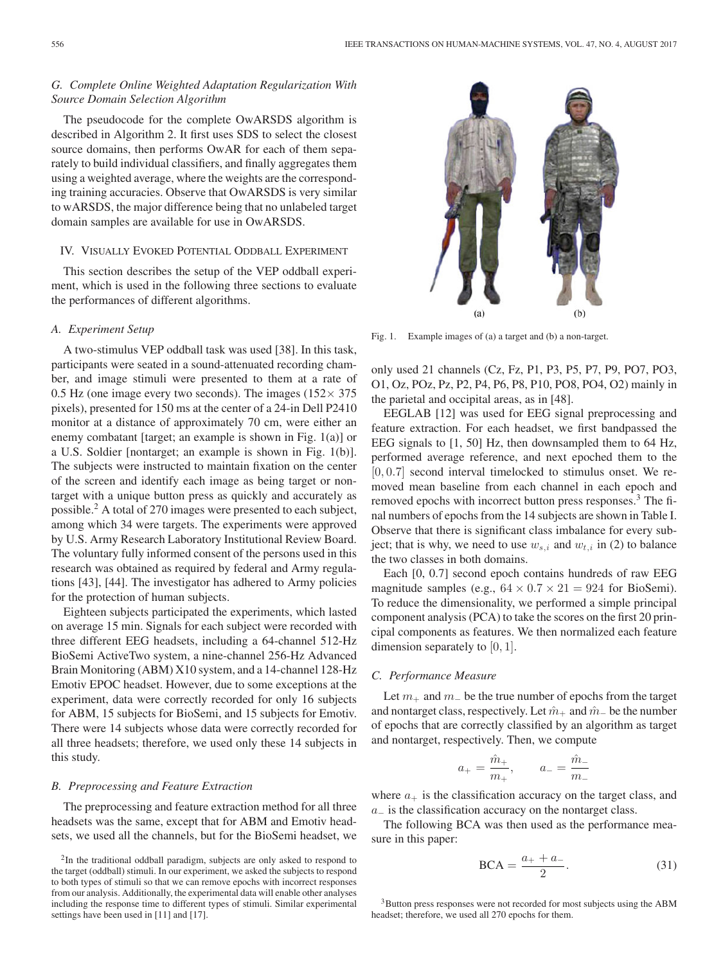## *G. Complete Online Weighted Adaptation Regularization With Source Domain Selection Algorithm*

The pseudocode for the complete OwARSDS algorithm is described in Algorithm 2. It first uses SDS to select the closest source domains, then performs OwAR for each of them separately to build individual classifiers, and finally aggregates them using a weighted average, where the weights are the corresponding training accuracies. Observe that OwARSDS is very similar to wARSDS, the major difference being that no unlabeled target domain samples are available for use in OwARSDS.

#### IV. VISUALLY EVOKED POTENTIAL ODDBALL EXPERIMENT

This section describes the setup of the VEP oddball experiment, which is used in the following three sections to evaluate the performances of different algorithms.

#### *A. Experiment Setup*

A two-stimulus VEP oddball task was used [38]. In this task, participants were seated in a sound-attenuated recording chamber, and image stimuli were presented to them at a rate of 0.5 Hz (one image every two seconds). The images  $(152 \times 375)$ pixels), presented for 150 ms at the center of a 24-in Dell P2410 monitor at a distance of approximately 70 cm, were either an enemy combatant [target; an example is shown in Fig. 1(a)] or a U.S. Soldier [nontarget; an example is shown in Fig. 1(b)]. The subjects were instructed to maintain fixation on the center of the screen and identify each image as being target or nontarget with a unique button press as quickly and accurately as possible.<sup>2</sup> A total of 270 images were presented to each subject, among which 34 were targets. The experiments were approved by U.S. Army Research Laboratory Institutional Review Board. The voluntary fully informed consent of the persons used in this research was obtained as required by federal and Army regulations [43], [44]. The investigator has adhered to Army policies for the protection of human subjects.

Eighteen subjects participated the experiments, which lasted on average 15 min. Signals for each subject were recorded with three different EEG headsets, including a 64-channel 512-Hz BioSemi ActiveTwo system, a nine-channel 256-Hz Advanced Brain Monitoring (ABM) X10 system, and a 14-channel 128-Hz Emotiv EPOC headset. However, due to some exceptions at the experiment, data were correctly recorded for only 16 subjects for ABM, 15 subjects for BioSemi, and 15 subjects for Emotiv. There were 14 subjects whose data were correctly recorded for all three headsets; therefore, we used only these 14 subjects in this study.

### *B. Preprocessing and Feature Extraction*

The preprocessing and feature extraction method for all three headsets was the same, except that for ABM and Emotiv headsets, we used all the channels, but for the BioSemi headset, we



Fig. 1. Example images of (a) a target and (b) a non-target.

only used 21 channels (Cz, Fz, P1, P3, P5, P7, P9, PO7, PO3, O1, Oz, POz, Pz, P2, P4, P6, P8, P10, PO8, PO4, O2) mainly in the parietal and occipital areas, as in [48].

EEGLAB [12] was used for EEG signal preprocessing and feature extraction. For each headset, we first bandpassed the EEG signals to [1, 50] Hz, then downsampled them to 64 Hz, performed average reference, and next epoched them to the  $[0, 0.7]$  second interval timelocked to stimulus onset. We removed mean baseline from each channel in each epoch and removed epochs with incorrect button press responses.<sup>3</sup> The final numbers of epochs from the 14 subjects are shown in Table I. Observe that there is significant class imbalance for every subject; that is why, we need to use  $w_{s,i}$  and  $w_{t,i}$  in (2) to balance the two classes in both domains.

Each [0, 0.7] second epoch contains hundreds of raw EEG magnitude samples (e.g.,  $64 \times 0.7 \times 21 = 924$  for BioSemi). To reduce the dimensionality, we performed a simple principal component analysis (PCA) to take the scores on the first 20 principal components as features. We then normalized each feature dimension separately to  $[0, 1]$ .

#### *C. Performance Measure*

Let  $m_+$  and  $m_-$  be the true number of epochs from the target and nontarget class, respectively. Let  $\hat{m}_+$  and  $\hat{m}_-$  be the number of epochs that are correctly classified by an algorithm as target and nontarget, respectively. Then, we compute

$$
a_{+} = \frac{\hat{m}_{+}}{m_{+}}, \qquad a_{-} = \frac{\hat{m}_{-}}{m_{-}}
$$

where  $a_+$  is the classification accuracy on the target class, and a<sup>−</sup> is the classification accuracy on the nontarget class.

The following BCA was then used as the performance measure in this paper:

$$
BCA = \frac{a_+ + a_-}{2}.
$$
 (31)

<sup>3</sup>Button press responses were not recorded for most subjects using the ABM headset; therefore, we used all 270 epochs for them.

<sup>&</sup>lt;sup>2</sup>In the traditional oddball paradigm, subjects are only asked to respond to the target (oddball) stimuli. In our experiment, we asked the subjects to respond to both types of stimuli so that we can remove epochs with incorrect responses from our analysis. Additionally, the experimental data will enable other analyses including the response time to different types of stimuli. Similar experimental settings have been used in [11] and [17].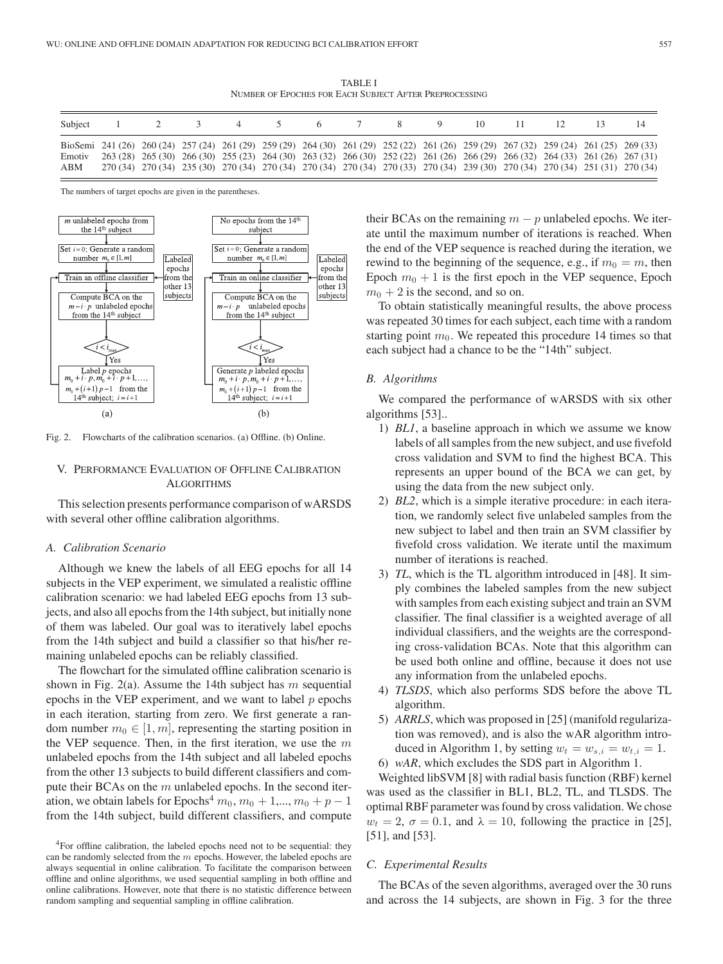TABLE I NUMBER OF EPOCHES FOR EACH SUBJECT AFTER PREPROCESSING

|        |  |  |  |  |  | Subject 1 2 3 4 5 6 7 8 9 10 11                                                                                                        | $\frac{12}{2}$ | - 13 - |  |
|--------|--|--|--|--|--|----------------------------------------------------------------------------------------------------------------------------------------|----------------|--------|--|
|        |  |  |  |  |  | BioSemi 241 (26) 260 (24) 257 (24) 261 (29) 259 (29) 264 (30) 261 (29) 252 (22) 261 (26) 259 (29) 267 (32) 259 (24) 261 (25) 269 (33)  |                |        |  |
| Emotiv |  |  |  |  |  | 263 (28) 265 (30) 266 (30) 255 (23) 264 (30) 263 (32) 266 (30) 252 (22) 261 (26) 266 (29) 266 (32) 264 (33) 261 (26) 267 (31)          |                |        |  |
| ABM    |  |  |  |  |  | 270 (34) 270 (34) 235 (30) 270 (34) 270 (34) 270 (34) 270 (34) 270 (35) 270 (36) 270 (34) 239 (30) 270 (34) 270 (34) 251 (31) 270 (34) |                |        |  |

The numbers of target epochs are given in the parentheses.



Fig. 2. Flowcharts of the calibration scenarios. (a) Offline. (b) Online.

## V. PERFORMANCE EVALUATION OF OFFLINE CALIBRATION ALGORITHMS

This selection presents performance comparison of wARSDS with several other offline calibration algorithms.

#### *A. Calibration Scenario*

Although we knew the labels of all EEG epochs for all 14 subjects in the VEP experiment, we simulated a realistic offline calibration scenario: we had labeled EEG epochs from 13 subjects, and also all epochs from the 14th subject, but initially none of them was labeled. Our goal was to iteratively label epochs from the 14th subject and build a classifier so that his/her remaining unlabeled epochs can be reliably classified.

The flowchart for the simulated offline calibration scenario is shown in Fig. 2(a). Assume the 14th subject has  $m$  sequential epochs in the VEP experiment, and we want to label  $p$  epochs in each iteration, starting from zero. We first generate a random number  $m_0 \in [1, m]$ , representing the starting position in the VEP sequence. Then, in the first iteration, we use the  $m$ unlabeled epochs from the 14th subject and all labeled epochs from the other 13 subjects to build different classifiers and compute their BCAs on the  $m$  unlabeled epochs. In the second iteration, we obtain labels for Epochs<sup>4</sup>  $m_0$ ,  $m_0 + 1, ..., m_0 + p - 1$ from the 14th subject, build different classifiers, and compute

their BCAs on the remaining  $m - p$  unlabeled epochs. We iterate until the maximum number of iterations is reached. When the end of the VEP sequence is reached during the iteration, we rewind to the beginning of the sequence, e.g., if  $m_0 = m$ , then Epoch  $m_0 + 1$  is the first epoch in the VEP sequence, Epoch  $m_0 + 2$  is the second, and so on.<br>To obtain statistically meaning

To obtain statistically meaningful results, the above process was repeated 30 times for each subject, each time with a random starting point  $m_0$ . We repeated this procedure 14 times so that each subject had a chance to be the "14th" subject.

#### *B. Algorithms*

We compared the performance of wARSDS with six other algorithms [53]..

- 1) *BL1*, a baseline approach in which we assume we know labels of all samples from the new subject, and use fivefold cross validation and SVM to find the highest BCA. This represents an upper bound of the BCA we can get, by using the data from the new subject only.
- 2) *BL2*, which is a simple iterative procedure: in each iteration, we randomly select five unlabeled samples from the new subject to label and then train an SVM classifier by fivefold cross validation. We iterate until the maximum number of iterations is reached.
- 3) *TL*, which is the TL algorithm introduced in [48]. It simply combines the labeled samples from the new subject with samples from each existing subject and train an SVM classifier. The final classifier is a weighted average of all individual classifiers, and the weights are the corresponding cross-validation BCAs. Note that this algorithm can be used both online and offline, because it does not use any information from the unlabeled epochs.
- 4) *TLSDS*, which also performs SDS before the above TL algorithm.
- 5) *ARRLS*, which was proposed in [25] (manifold regularization was removed), and is also the wAR algorithm introduced in Algorithm 1, by setting  $w_t = w_{s,i} = w_{t,i} = 1$ .
- 6) *wAR*, which excludes the SDS part in Algorithm 1.

Weighted libSVM [8] with radial basis function (RBF) kernel was used as the classifier in BL1, BL2, TL, and TLSDS. The optimal RBF parameter was found by cross validation. We chose  $w_t = 2$ ,  $\sigma = 0.1$ , and  $\lambda = 10$ , following the practice in [25], [51], and [53].

#### *C. Experimental Results*

The BCAs of the seven algorithms, averaged over the 30 runs and across the 14 subjects, are shown in Fig. 3 for the three

<sup>4</sup>For offline calibration, the labeled epochs need not to be sequential: they can be randomly selected from the  $m$  epochs. However, the labeled epochs are always sequential in online calibration. To facilitate the comparison between offline and online algorithms, we used sequential sampling in both offline and online calibrations. However, note that there is no statistic difference between random sampling and sequential sampling in offline calibration.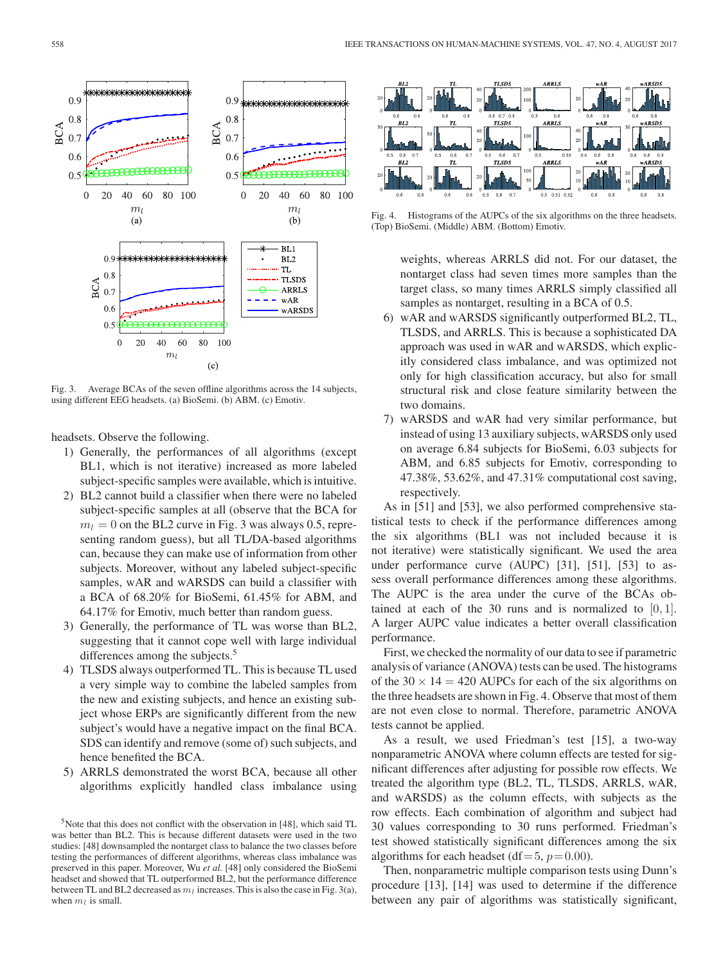

Fig. 3. Average BCAs of the seven offline algorithms across the 14 subjects, using different EEG headsets. (a) BioSemi. (b) ABM. (c) Emotiv.

headsets. Observe the following.

- 1) Generally, the performances of all algorithms (except BL1, which is not iterative) increased as more labeled subject-specific samples were available, which is intuitive.
- 2) BL2 cannot build a classifier when there were no labeled subject-specific samples at all (observe that the BCA for  $m_l = 0$  on the BL2 curve in Fig. 3 was always 0.5, representing random guess), but all TL/DA-based algorithms can, because they can make use of information from other subjects. Moreover, without any labeled subject-specific samples, wAR and wARSDS can build a classifier with a BCA of 68.20% for BioSemi, 61.45% for ABM, and 64.17% for Emotiv, much better than random guess.
- 3) Generally, the performance of TL was worse than BL2, suggesting that it cannot cope well with large individual differences among the subjects.<sup>5</sup>
- 4) TLSDS always outperformed TL. This is because TL used a very simple way to combine the labeled samples from the new and existing subjects, and hence an existing subject whose ERPs are significantly different from the new subject's would have a negative impact on the final BCA. SDS can identify and remove (some of) such subjects, and hence benefited the BCA.
- 5) ARRLS demonstrated the worst BCA, because all other algorithms explicitly handled class imbalance using



Fig. 4. Histograms of the AUPCs of the six algorithms on the three headsets. (Top) BioSemi. (Middle) ABM. (Bottom) Emotiv.

weights, whereas ARRLS did not. For our dataset, the nontarget class had seven times more samples than the target class, so many times ARRLS simply classified all samples as nontarget, resulting in a BCA of 0.5.

- 6) wAR and wARSDS significantly outperformed BL2, TL, TLSDS, and ARRLS. This is because a sophisticated DA approach was used in wAR and wARSDS, which explicitly considered class imbalance, and was optimized not only for high classification accuracy, but also for small structural risk and close feature similarity between the two domains.
- 7) wARSDS and wAR had very similar performance, but instead of using 13 auxiliary subjects, wARSDS only used on average 6.84 subjects for BioSemi, 6.03 subjects for ABM, and 6.85 subjects for Emotiv, corresponding to 47.38%, 53.62%, and 47.31% computational cost saving, respectively.

As in [51] and [53], we also performed comprehensive statistical tests to check if the performance differences among the six algorithms (BL1 was not included because it is not iterative) were statistically significant. We used the area under performance curve (AUPC) [31], [51], [53] to assess overall performance differences among these algorithms. The AUPC is the area under the curve of the BCAs obtained at each of the 30 runs and is normalized to  $[0, 1]$ . A larger AUPC value indicates a better overall classification performance.

First, we checked the normality of our data to see if parametric analysis of variance (ANOVA) tests can be used. The histograms of the  $30 \times 14 = 420$  AUPCs for each of the six algorithms on the three headsets are shown in Fig. 4. Observe that most of them are not even close to normal. Therefore, parametric ANOVA tests cannot be applied.

As a result, we used Friedman's test [15], a two-way nonparametric ANOVA where column effects are tested for significant differences after adjusting for possible row effects. We treated the algorithm type (BL2, TL, TLSDS, ARRLS, wAR, and wARSDS) as the column effects, with subjects as the row effects. Each combination of algorithm and subject had 30 values corresponding to 30 runs performed. Friedman's test showed statistically significant differences among the six algorithms for each headset (df =  $5, p = 0.00$ ).

Then, nonparametric multiple comparison tests using Dunn's procedure [13], [14] was used to determine if the difference between any pair of algorithms was statistically significant,

<sup>5</sup>Note that this does not conflict with the observation in [48], which said TL was better than BL2. This is because different datasets were used in the two studies: [48] downsampled the nontarget class to balance the two classes before testing the performances of different algorithms, whereas class imbalance was preserved in this paper. Moreover, Wu *et al.* [48] only considered the BioSemi headset and showed that TL outperformed BL2, but the performance difference between TL and BL2 decreased as  $m_l$  increases. This is also the case in Fig. 3(a), when  $m_l$  is small.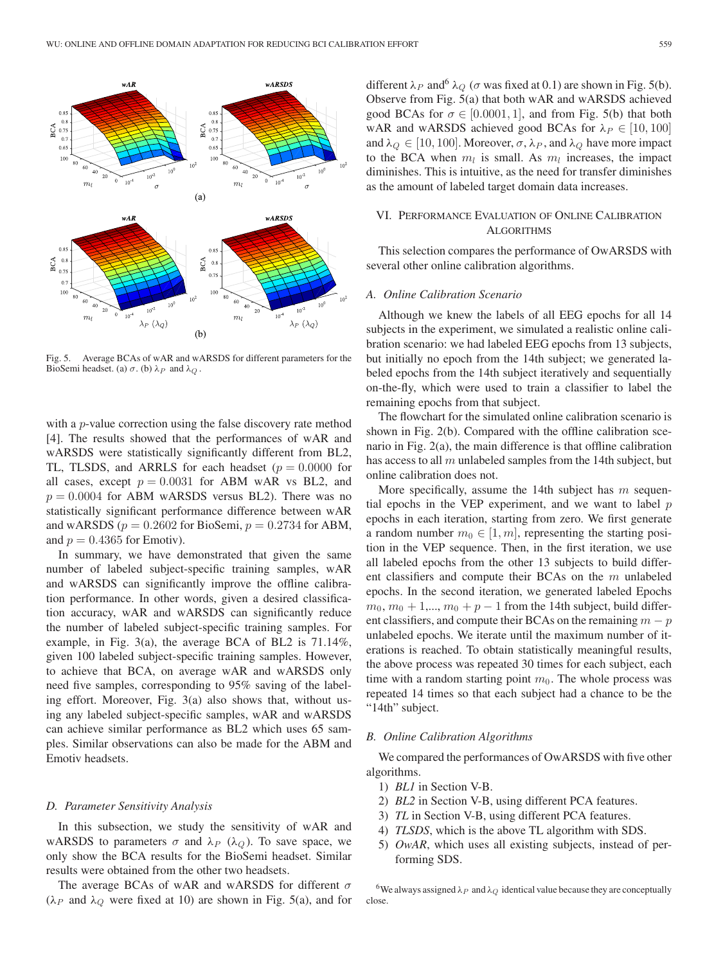

Fig. 5. Average BCAs of wAR and wARSDS for different parameters for the BioSemi headset. (a)  $\sigma$ . (b)  $\lambda_P$  and  $\lambda_Q$ .

with a *p*-value correction using the false discovery rate method [4]. The results showed that the performances of wAR and wARSDS were statistically significantly different from BL2, TL, TLSDS, and ARRLS for each headset ( $p = 0.0000$  for all cases, except  $p = 0.0031$  for ABM wAR vs BL2, and  $p = 0.0004$  for ABM wARSDS versus BL2). There was no statistically significant performance difference between wAR and wARSDS ( $p = 0.2602$  for BioSemi,  $p = 0.2734$  for ABM, and  $p = 0.4365$  for Emotiv).

In summary, we have demonstrated that given the same number of labeled subject-specific training samples, wAR and wARSDS can significantly improve the offline calibration performance. In other words, given a desired classification accuracy, wAR and wARSDS can significantly reduce the number of labeled subject-specific training samples. For example, in Fig. 3(a), the average BCA of BL2 is 71.14%, given 100 labeled subject-specific training samples. However, to achieve that BCA, on average wAR and wARSDS only need five samples, corresponding to 95% saving of the labeling effort. Moreover, Fig. 3(a) also shows that, without using any labeled subject-specific samples, wAR and wARSDS can achieve similar performance as BL2 which uses 65 samples. Similar observations can also be made for the ABM and Emotiv headsets.

#### *D. Parameter Sensitivity Analysis*

In this subsection, we study the sensitivity of wAR and wARSDS to parameters  $\sigma$  and  $\lambda_P$  ( $\lambda_Q$ ). To save space, we only show the BCA results for the BioSemi headset. Similar results were obtained from the other two headsets.

The average BCAs of wAR and wARSDS for different  $\sigma$ ( $\lambda_P$  and  $\lambda_Q$  were fixed at 10) are shown in Fig. 5(a), and for different  $\lambda_P$  and<sup>6</sup>  $\lambda_Q$  ( $\sigma$  was fixed at 0.1) are shown in Fig. 5(b). Observe from Fig. 5(a) that both wAR and wARSDS achieved good BCAs for  $\sigma \in [0.0001, 1]$ , and from Fig. 5(b) that both wAR and wARSDS achieved good BCAs for  $\lambda_P \in [10, 100]$ and  $\lambda_Q \in [10, 100]$ . Moreover,  $\sigma$ ,  $\lambda_P$ , and  $\lambda_Q$  have more impact to the BCA when  $m_l$  is small. As  $m_l$  increases, the impact diminishes. This is intuitive, as the need for transfer diminishes as the amount of labeled target domain data increases.

# VI. PERFORMANCE EVALUATION OF ONLINE CALIBRATION **ALGORITHMS**

This selection compares the performance of OwARSDS with several other online calibration algorithms.

#### *A. Online Calibration Scenario*

Although we knew the labels of all EEG epochs for all 14 subjects in the experiment, we simulated a realistic online calibration scenario: we had labeled EEG epochs from 13 subjects, but initially no epoch from the 14th subject; we generated labeled epochs from the 14th subject iteratively and sequentially on-the-fly, which were used to train a classifier to label the remaining epochs from that subject.

The flowchart for the simulated online calibration scenario is shown in Fig. 2(b). Compared with the offline calibration scenario in Fig. 2(a), the main difference is that offline calibration has access to all  $m$  unlabeled samples from the 14th subject, but online calibration does not.

More specifically, assume the 14th subject has  $m$  sequential epochs in the VEP experiment, and we want to label  $p$ epochs in each iteration, starting from zero. We first generate a random number  $m_0 \in [1, m]$ , representing the starting position in the VEP sequence. Then, in the first iteration, we use all labeled epochs from the other 13 subjects to build different classifiers and compute their BCAs on the  $m$  unlabeled epochs. In the second iteration, we generated labeled Epochs  $m_0$ ,  $m_0 + 1,..., m_0 + p - 1$  from the 14th subject, build different classifiers and compute their BCAs on the remaining  $m - n$ ent classifiers, and compute their BCAs on the remaining  $m - p$ unlabeled epochs. We iterate until the maximum number of iterations is reached. To obtain statistically meaningful results, the above process was repeated 30 times for each subject, each time with a random starting point  $m_0$ . The whole process was repeated 14 times so that each subject had a chance to be the "14th" subject.

#### *B. Online Calibration Algorithms*

We compared the performances of OwARSDS with five other algorithms.

- 1) *BL1* in Section V-B.
- 2) *BL2* in Section V-B, using different PCA features.
- 3) *TL* in Section V-B, using different PCA features.
- 4) *TLSDS*, which is the above TL algorithm with SDS.
- 5) *OwAR*, which uses all existing subjects, instead of performing SDS.

<sup>6</sup>We always assigned  $\lambda_P$  and  $\lambda_Q$  identical value because they are conceptually close.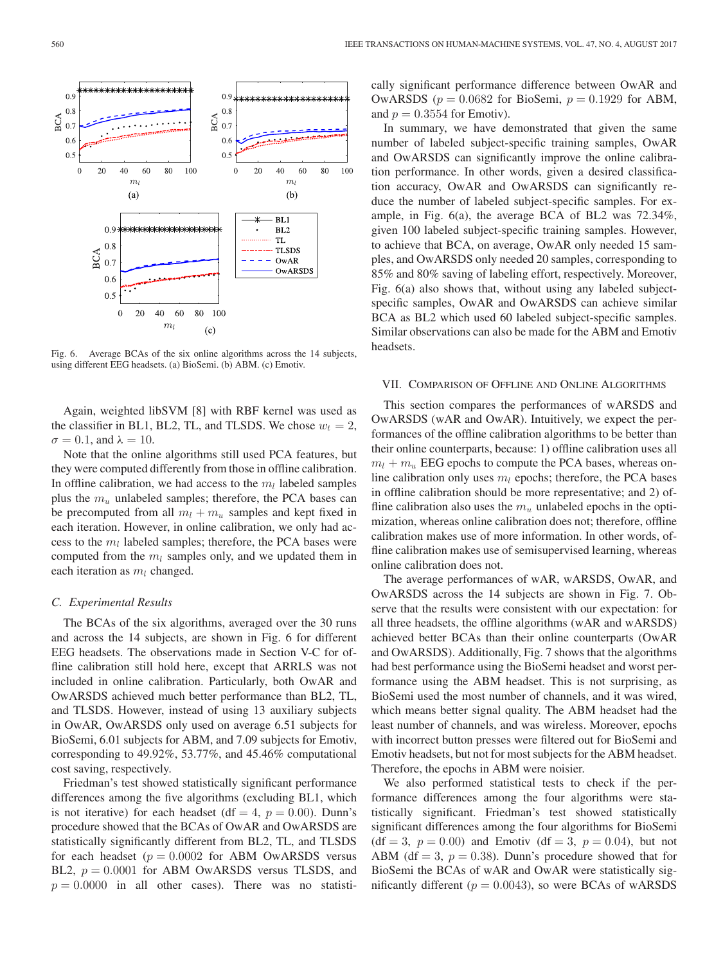

Fig. 6. Average BCAs of the six online algorithms across the 14 subjects, using different EEG headsets. (a) BioSemi. (b) ABM. (c) Emotiv.

Again, weighted libSVM [8] with RBF kernel was used as the classifier in BL1, BL2, TL, and TLSDS. We chose  $w_t = 2$ ,  $\sigma = 0.1$ , and  $\lambda = 10$ .

Note that the online algorithms still used PCA features, but they were computed differently from those in offline calibration. In offline calibration, we had access to the  $m_l$  labeled samples plus the  $m_u$  unlabeled samples; therefore, the PCA bases can be precomputed from all  $m_l + m_u$  samples and kept fixed in each iteration. However, in online calibration, we only had access to the  $m_l$  labeled samples; therefore, the PCA bases were computed from the  $m_l$  samples only, and we updated them in each iteration as  $m_l$  changed.

#### *C. Experimental Results*

The BCAs of the six algorithms, averaged over the 30 runs and across the 14 subjects, are shown in Fig. 6 for different EEG headsets. The observations made in Section V-C for offline calibration still hold here, except that ARRLS was not included in online calibration. Particularly, both OwAR and OwARSDS achieved much better performance than BL2, TL, and TLSDS. However, instead of using 13 auxiliary subjects in OwAR, OwARSDS only used on average 6.51 subjects for BioSemi, 6.01 subjects for ABM, and 7.09 subjects for Emotiv, corresponding to 49.92%, 53.77%, and 45.46% computational cost saving, respectively.

Friedman's test showed statistically significant performance differences among the five algorithms (excluding BL1, which is not iterative) for each headset (df = 4,  $p = 0.00$ ). Dunn's procedure showed that the BCAs of OwAR and OwARSDS are statistically significantly different from BL2, TL, and TLSDS for each headset ( $p = 0.0002$  for ABM OwARSDS versus BL2,  $p = 0.0001$  for ABM OwARSDS versus TLSDS, and  $p = 0.0000$  in all other cases). There was no statistically significant performance difference between OwAR and OwARSDS ( $p = 0.0682$  for BioSemi,  $p = 0.1929$  for ABM, and  $p = 0.3554$  for Emotiv).

In summary, we have demonstrated that given the same number of labeled subject-specific training samples, OwAR and OwARSDS can significantly improve the online calibration performance. In other words, given a desired classification accuracy, OwAR and OwARSDS can significantly reduce the number of labeled subject-specific samples. For example, in Fig. 6(a), the average BCA of BL2 was 72.34%, given 100 labeled subject-specific training samples. However, to achieve that BCA, on average, OwAR only needed 15 samples, and OwARSDS only needed 20 samples, corresponding to 85% and 80% saving of labeling effort, respectively. Moreover, Fig. 6(a) also shows that, without using any labeled subjectspecific samples, OwAR and OwARSDS can achieve similar BCA as BL2 which used 60 labeled subject-specific samples. Similar observations can also be made for the ABM and Emotiv headsets.

#### VII. COMPARISON OF OFFLINE AND ONLINE ALGORITHMS

This section compares the performances of wARSDS and OwARSDS (wAR and OwAR). Intuitively, we expect the performances of the offline calibration algorithms to be better than their online counterparts, because: 1) offline calibration uses all  $m_l + m_u$  EEG epochs to compute the PCA bases, whereas online calibration only uses  $m_l$  epochs; therefore, the PCA bases in offline calibration should be more representative; and 2) offline calibration also uses the  $m_u$  unlabeled epochs in the optimization, whereas online calibration does not; therefore, offline calibration makes use of more information. In other words, offline calibration makes use of semisupervised learning, whereas online calibration does not.

The average performances of wAR, wARSDS, OwAR, and OwARSDS across the 14 subjects are shown in Fig. 7. Observe that the results were consistent with our expectation: for all three headsets, the offline algorithms (wAR and wARSDS) achieved better BCAs than their online counterparts (OwAR and OwARSDS). Additionally, Fig. 7 shows that the algorithms had best performance using the BioSemi headset and worst performance using the ABM headset. This is not surprising, as BioSemi used the most number of channels, and it was wired, which means better signal quality. The ABM headset had the least number of channels, and was wireless. Moreover, epochs with incorrect button presses were filtered out for BioSemi and Emotiv headsets, but not for most subjects for the ABM headset. Therefore, the epochs in ABM were noisier.

We also performed statistical tests to check if the performance differences among the four algorithms were statistically significant. Friedman's test showed statistically significant differences among the four algorithms for BioSemi  $(df = 3, p = 0.00)$  and Emotiv  $(df = 3, p = 0.04)$ , but not ABM (df = 3,  $p = 0.38$ ). Dunn's procedure showed that for BioSemi the BCAs of wAR and OwAR were statistically significantly different ( $p = 0.0043$ ), so were BCAs of wARSDS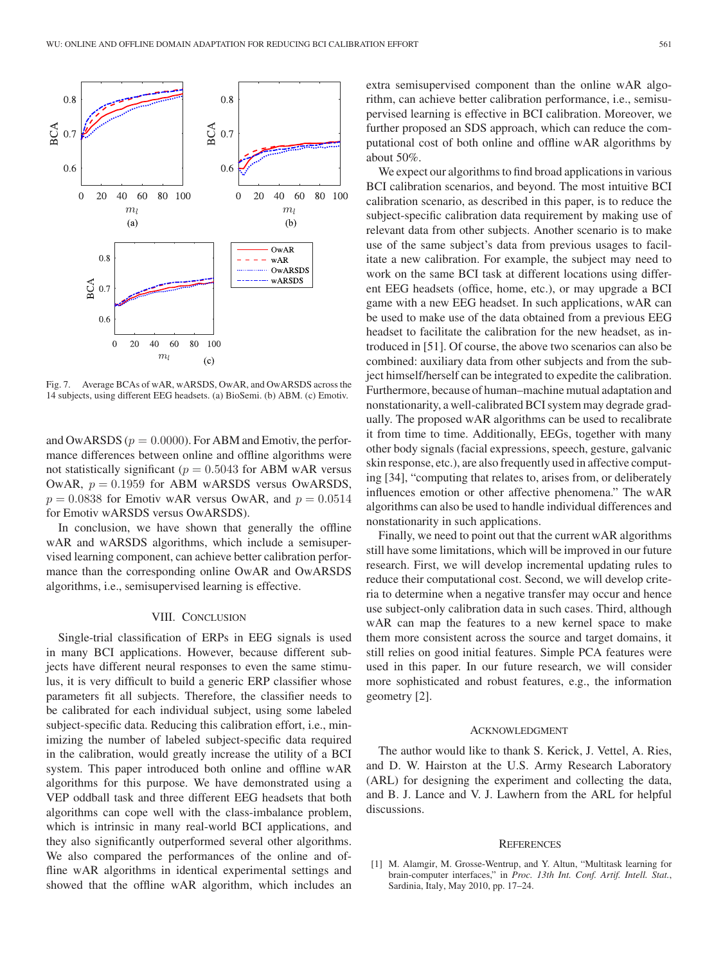

Fig. 7. Average BCAs of wAR, wARSDS, OwAR, and OwARSDS across the 14 subjects, using different EEG headsets. (a) BioSemi. (b) ABM. (c) Emotiv.

and OwARSDS ( $p = 0.0000$ ). For ABM and Emotiv, the performance differences between online and offline algorithms were not statistically significant ( $p = 0.5043$  for ABM wAR versus OwAR,  $p = 0.1959$  for ABM wARSDS versus OwARSDS,  $p = 0.0838$  for Emotiv wAR versus OwAR, and  $p = 0.0514$ for Emotiv wARSDS versus OwARSDS).

In conclusion, we have shown that generally the offline wAR and wARSDS algorithms, which include a semisupervised learning component, can achieve better calibration performance than the corresponding online OwAR and OwARSDS algorithms, i.e., semisupervised learning is effective.

## VIII. CONCLUSION

Single-trial classification of ERPs in EEG signals is used in many BCI applications. However, because different subjects have different neural responses to even the same stimulus, it is very difficult to build a generic ERP classifier whose parameters fit all subjects. Therefore, the classifier needs to be calibrated for each individual subject, using some labeled subject-specific data. Reducing this calibration effort, i.e., minimizing the number of labeled subject-specific data required in the calibration, would greatly increase the utility of a BCI system. This paper introduced both online and offline wAR algorithms for this purpose. We have demonstrated using a VEP oddball task and three different EEG headsets that both algorithms can cope well with the class-imbalance problem, which is intrinsic in many real-world BCI applications, and they also significantly outperformed several other algorithms. We also compared the performances of the online and offline wAR algorithms in identical experimental settings and showed that the offline wAR algorithm, which includes an extra semisupervised component than the online wAR algorithm, can achieve better calibration performance, i.e., semisupervised learning is effective in BCI calibration. Moreover, we further proposed an SDS approach, which can reduce the computational cost of both online and offline wAR algorithms by about 50%.

We expect our algorithms to find broad applications in various BCI calibration scenarios, and beyond. The most intuitive BCI calibration scenario, as described in this paper, is to reduce the subject-specific calibration data requirement by making use of relevant data from other subjects. Another scenario is to make use of the same subject's data from previous usages to facilitate a new calibration. For example, the subject may need to work on the same BCI task at different locations using different EEG headsets (office, home, etc.), or may upgrade a BCI game with a new EEG headset. In such applications, wAR can be used to make use of the data obtained from a previous EEG headset to facilitate the calibration for the new headset, as introduced in [51]. Of course, the above two scenarios can also be combined: auxiliary data from other subjects and from the subject himself/herself can be integrated to expedite the calibration. Furthermore, because of human–machine mutual adaptation and nonstationarity, a well-calibrated BCI system may degrade gradually. The proposed wAR algorithms can be used to recalibrate it from time to time. Additionally, EEGs, together with many other body signals (facial expressions, speech, gesture, galvanic skin response, etc.), are also frequently used in affective computing [34], "computing that relates to, arises from, or deliberately influences emotion or other affective phenomena." The wAR algorithms can also be used to handle individual differences and nonstationarity in such applications.

Finally, we need to point out that the current wAR algorithms still have some limitations, which will be improved in our future research. First, we will develop incremental updating rules to reduce their computational cost. Second, we will develop criteria to determine when a negative transfer may occur and hence use subject-only calibration data in such cases. Third, although wAR can map the features to a new kernel space to make them more consistent across the source and target domains, it still relies on good initial features. Simple PCA features were used in this paper. In our future research, we will consider more sophisticated and robust features, e.g., the information geometry [2].

#### ACKNOWLEDGMENT

The author would like to thank S. Kerick, J. Vettel, A. Ries, and D. W. Hairston at the U.S. Army Research Laboratory (ARL) for designing the experiment and collecting the data, and B. J. Lance and V. J. Lawhern from the ARL for helpful discussions.

#### **REFERENCES**

[1] M. Alamgir, M. Grosse-Wentrup, and Y. Altun, "Multitask learning for brain-computer interfaces," in *Proc. 13th Int. Conf. Artif. Intell. Stat.*, Sardinia, Italy, May 2010, pp. 17–24.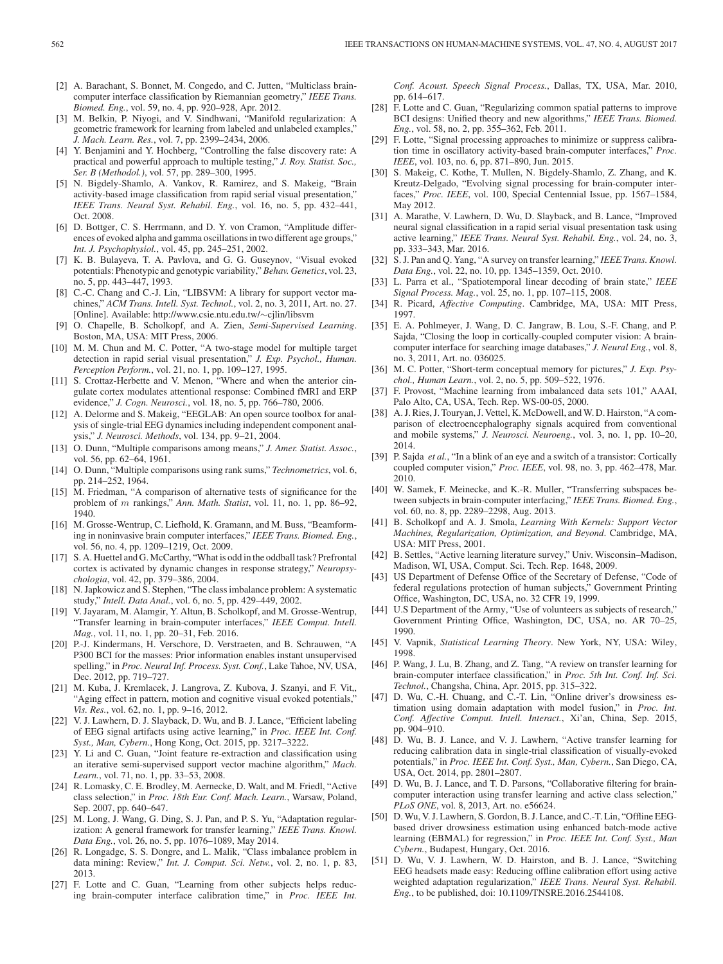- [2] A. Barachant, S. Bonnet, M. Congedo, and C. Jutten, "Multiclass braincomputer interface classification by Riemannian geometry," *IEEE Trans. Biomed. Eng.*, vol. 59, no. 4, pp. 920–928, Apr. 2012.
- [3] M. Belkin, P. Niyogi, and V. Sindhwani, "Manifold regularization: A geometric framework for learning from labeled and unlabeled examples," *J. Mach. Learn. Res.*, vol. 7, pp. 2399–2434, 2006.
- [4] Y. Benjamini and Y. Hochberg, "Controlling the false discovery rate: A practical and powerful approach to multiple testing," *J. Roy. Statist. Soc., Ser. B (Methodol.)*, vol. 57, pp. 289–300, 1995.
- [5] N. Bigdely-Shamlo, A. Vankov, R. Ramirez, and S. Makeig, "Brain activity-based image classification from rapid serial visual presentation," *IEEE Trans. Neural Syst. Rehabil. Eng.*, vol. 16, no. 5, pp. 432–441, Oct. 2008.
- [6] D. Bottger, C. S. Herrmann, and D. Y. von Cramon, "Amplitude differences of evoked alpha and gamma oscillations in two different age groups," *Int. J. Psychophysiol.*, vol. 45, pp. 245–251, 2002.
- [7] K. B. Bulayeva, T. A. Pavlova, and G. G. Guseynov, "Visual evoked potentials: Phenotypic and genotypic variability," *Behav. Genetics*, vol. 23, no. 5, pp. 443–447, 1993.
- [8] C.-C. Chang and C.-J. Lin, "LIBSVM: A library for support vector machines," *ACM Trans. Intell. Syst. Technol.*, vol. 2, no. 3, 2011, Art. no. 27. [Online]. Available: http://www.csie.ntu.edu.tw/∼cjlin/libsvm
- [9] O. Chapelle, B. Scholkopf, and A. Zien, *Semi-Supervised Learning*. Boston, MA, USA: MIT Press, 2006.
- [10] M. M. Chun and M. C. Potter, "A two-stage model for multiple target detection in rapid serial visual presentation," *J. Exp. Psychol., Human. Perception Perform.*, vol. 21, no. 1, pp. 109–127, 1995.
- [11] S. Crottaz-Herbette and V. Menon, "Where and when the anterior cingulate cortex modulates attentional response: Combined fMRI and ERP evidence," *J. Cogn. Neurosci.*, vol. 18, no. 5, pp. 766–780, 2006.
- [12] A. Delorme and S. Makeig, "EEGLAB: An open source toolbox for analysis of single-trial EEG dynamics including independent component analysis," *J. Neurosci. Methods*, vol. 134, pp. 9–21, 2004.
- [13] O. Dunn, "Multiple comparisons among means," *J. Amer. Statist. Assoc.*, vol. 56, pp. 62–64, 1961.
- [14] O. Dunn, "Multiple comparisons using rank sums," *Technometrics*, vol. 6, pp. 214–252, 1964.
- [15] M. Friedman, "A comparison of alternative tests of significance for the problem of m rankings," *Ann. Math. Statist*, vol. 11, no. 1, pp. 86–92, 1940.
- [16] M. Grosse-Wentrup, C. Liefhold, K. Gramann, and M. Buss, "Beamforming in noninvasive brain computer interfaces," *IEEE Trans. Biomed. Eng.*, vol. 56, no. 4, pp. 1209–1219, Oct. 2009.
- [17] S. A. Huettel and G. McCarthy, "What is odd in the oddball task? Prefrontal cortex is activated by dynamic changes in response strategy," *Neuropsychologia*, vol. 42, pp. 379–386, 2004.
- [18] N. Japkowicz and S. Stephen, "The class imbalance problem: A systematic study," *Intell. Data Anal.*, vol. 6, no. 5, pp. 429–449, 2002.
- [19] V. Jayaram, M. Alamgir, Y. Altun, B. Scholkopf, and M. Grosse-Wentrup, "Transfer learning in brain-computer interfaces," *IEEE Comput. Intell. Mag.*, vol. 11, no. 1, pp. 20–31, Feb. 2016.
- [20] P.-J. Kindermans, H. Verschore, D. Verstraeten, and B. Schrauwen, "A P300 BCI for the masses: Prior information enables instant unsupervised spelling," in *Proc. Neural Inf. Process. Syst. Conf.*, Lake Tahoe, NV, USA, Dec. 2012, pp. 719–727.
- [21] M. Kuba, J. Kremlacek, J. Langrova, Z. Kubova, J. Szanyi, and F. Vit,, "Aging effect in pattern, motion and cognitive visual evoked potentials," *Vis. Res.*, vol. 62, no. 1, pp. 9–16, 2012.
- [22] V. J. Lawhern, D. J. Slayback, D. Wu, and B. J. Lance, "Efficient labeling of EEG signal artifacts using active learning," in *Proc. IEEE Int. Conf. Syst., Man, Cybern.*, Hong Kong, Oct. 2015, pp. 3217–3222.
- [23] Y. Li and C. Guan, "Joint feature re-extraction and classification using an iterative semi-supervised support vector machine algorithm," *Mach. Learn.*, vol. 71, no. 1, pp. 33–53, 2008.
- [24] R. Lomasky, C. E. Brodley, M. Aernecke, D. Walt, and M. Friedl, "Active class selection," in *Proc. 18th Eur. Conf. Mach. Learn.*, Warsaw, Poland, Sep. 2007, pp. 640–647.
- [25] M. Long, J. Wang, G. Ding, S. J. Pan, and P. S. Yu, "Adaptation regularization: A general framework for transfer learning," *IEEE Trans. Knowl. Data Eng.*, vol. 26, no. 5, pp. 1076–1089, May 2014.
- [26] R. Longadge, S. S. Dongre, and L. Malik, "Class imbalance problem in data mining: Review," *Int. J. Comput. Sci. Netw.*, vol. 2, no. 1, p. 83, 2013.
- [27] F. Lotte and C. Guan, "Learning from other subjects helps reducing brain-computer interface calibration time," in *Proc. IEEE Int.*

*Conf. Acoust. Speech Signal Process.*, Dallas, TX, USA, Mar. 2010, pp. 614–617.

- [28] F. Lotte and C. Guan, "Regularizing common spatial patterns to improve BCI designs: Unified theory and new algorithms," *IEEE Trans. Biomed. Eng.*, vol. 58, no. 2, pp. 355–362, Feb. 2011.
- [29] F. Lotte, "Signal processing approaches to minimize or suppress calibration time in oscillatory activity-based brain-computer interfaces," *Proc. IEEE*, vol. 103, no. 6, pp. 871–890, Jun. 2015.
- [30] S. Makeig, C. Kothe, T. Mullen, N. Bigdely-Shamlo, Z. Zhang, and K. Kreutz-Delgado, "Evolving signal processing for brain-computer interfaces," *Proc. IEEE*, vol. 100, Special Centennial Issue, pp. 1567–1584, May 2012.
- [31] A. Marathe, V. Lawhern, D. Wu, D. Slayback, and B. Lance, "Improved neural signal classification in a rapid serial visual presentation task using active learning," *IEEE Trans. Neural Syst. Rehabil. Eng.*, vol. 24, no. 3, pp. 333–343, Mar. 2016.
- [32] S. J. Pan and Q. Yang, "A survey on transfer learning," *IEEE Trans. Knowl. Data Eng.*, vol. 22, no. 10, pp. 1345–1359, Oct. 2010.
- [33] L. Parra et al., "Spatiotemporal linear decoding of brain state," *IEEE Signal Process. Mag.*, vol. 25, no. 1, pp. 107–115, 2008.
- [34] R. Picard, *Affective Computing*. Cambridge, MA, USA: MIT Press, 1997.
- [35] E. A. Pohlmeyer, J. Wang, D. C. Jangraw, B. Lou, S.-F. Chang, and P. Sajda, "Closing the loop in cortically-coupled computer vision: A braincomputer interface for searching image databases," *J. Neural Eng.*, vol. 8, no. 3, 2011, Art. no. 036025.
- [36] M. C. Potter, "Short-term conceptual memory for pictures," *J. Exp. Psychol., Human Learn.*, vol. 2, no. 5, pp. 509–522, 1976.
- [37] F. Provost, "Machine learning from imbalanced data sets 101," AAAI, Palo Alto, CA, USA, Tech. Rep. WS-00-05, 2000.
- [38] A. J. Ries, J. Touryan, J. Vettel, K. McDowell, and W. D. Hairston, "A comparison of electroencephalography signals acquired from conventional and mobile systems," *J. Neurosci. Neuroeng.*, vol. 3, no. 1, pp. 10–20, 2014.
- [39] P. Sajda *et al.*, "In a blink of an eye and a switch of a transistor: Cortically coupled computer vision," *Proc. IEEE*, vol. 98, no. 3, pp. 462–478, Mar. 2010.
- [40] W. Samek, F. Meinecke, and K.-R. Muller, "Transferring subspaces between subjects in brain-computer interfacing," *IEEE Trans. Biomed. Eng.*, vol. 60, no. 8, pp. 2289–2298, Aug. 2013.
- [41] B. Scholkopf and A. J. Smola, *Learning With Kernels: Support Vector Machines, Regularization, Optimization, and Beyond*. Cambridge, MA, USA: MIT Press, 2001.
- [42] B. Settles, "Active learning literature survey," Univ. Wisconsin–Madison, Madison, WI, USA, Comput. Sci. Tech. Rep. 1648, 2009.
- [43] US Department of Defense Office of the Secretary of Defense, "Code of federal regulations protection of human subjects," Government Printing Office, Washington, DC, USA, no. 32 CFR 19, 1999.
- [44] U.S Department of the Army, "Use of volunteers as subjects of research," Government Printing Office, Washington, DC, USA, no. AR 70–25, 1990.
- [45] V. Vapnik, *Statistical Learning Theory*. New York, NY, USA: Wiley, 1998.
- [46] P. Wang, J. Lu, B. Zhang, and Z. Tang, "A review on transfer learning for brain-computer interface classification," in *Proc. 5th Int. Conf. Inf. Sci. Technol.*, Changsha, China, Apr. 2015, pp. 315–322.
- [47] D. Wu, C.-H. Chuang, and C.-T. Lin, "Online driver's drowsiness estimation using domain adaptation with model fusion," in *Proc. Int. Conf. Affective Comput. Intell. Interact.*, Xi'an, China, Sep. 2015, pp. 904–910.
- [48] D. Wu, B. J. Lance, and V. J. Lawhern, "Active transfer learning for reducing calibration data in single-trial classification of visually-evoked potentials," in *Proc. IEEE Int. Conf. Syst., Man, Cybern.*, San Diego, CA, USA, Oct. 2014, pp. 2801–2807.
- [49] D. Wu, B. J. Lance, and T. D. Parsons, "Collaborative filtering for braincomputer interaction using transfer learning and active class selection," *PLoS ONE*, vol. 8, 2013, Art. no. e56624.
- [50] D. Wu, V. J. Lawhern, S. Gordon, B. J. Lance, and C.-T. Lin, "Offline EEGbased driver drowsiness estimation using enhanced batch-mode active learning (EBMAL) for regression," in *Proc. IEEE Int. Conf. Syst., Man Cybern.*, Budapest, Hungary, Oct. 2016.
- [51] D. Wu, V. J. Lawhern, W. D. Hairston, and B. J. Lance, "Switching EEG headsets made easy: Reducing offline calibration effort using active weighted adaptation regularization," *IEEE Trans. Neural Syst. Rehabil. Eng.*, to be published, doi: 10.1109/TNSRE.2016.2544108.